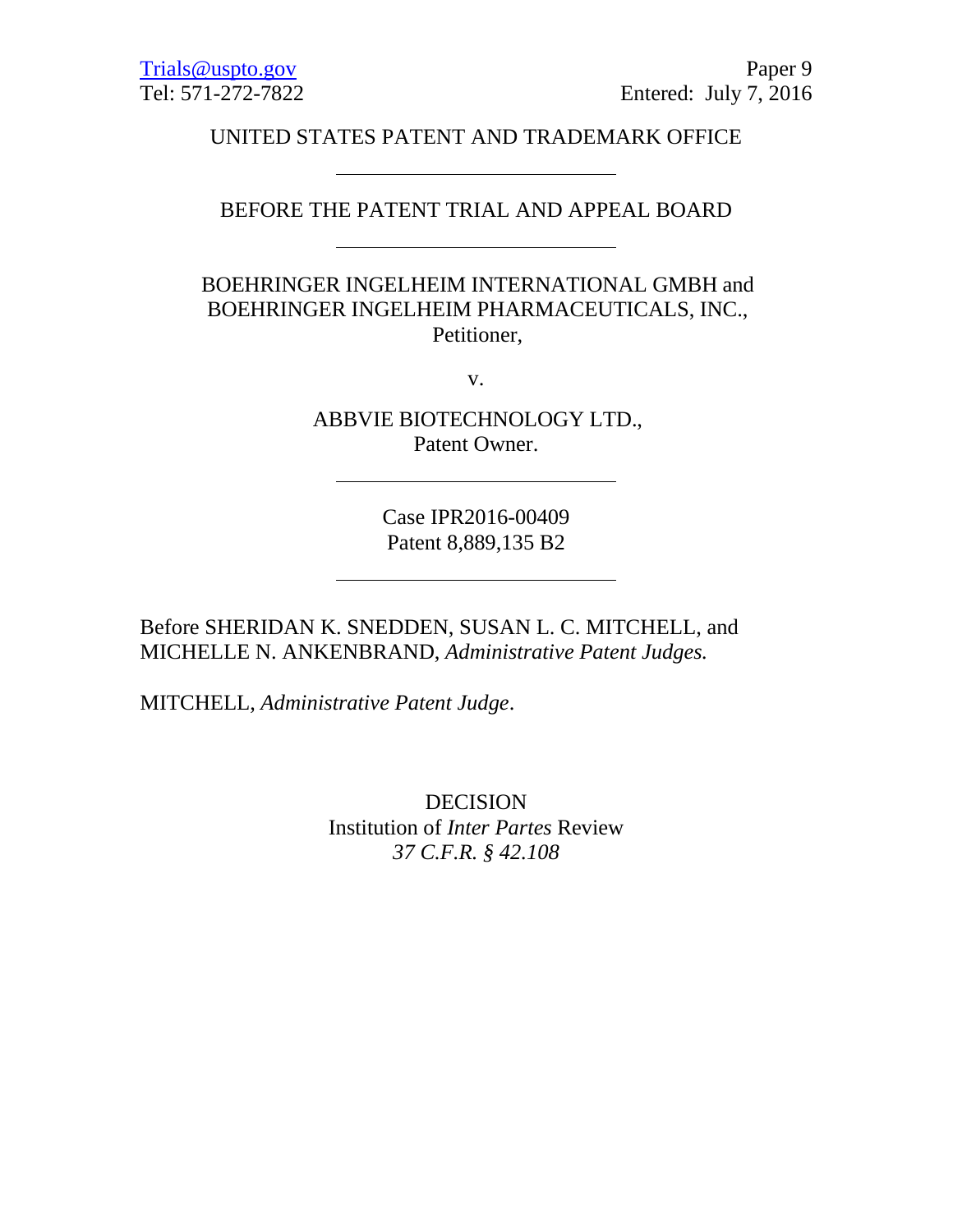UNITED STATES PATENT AND TRADEMARK OFFICE

# BEFORE THE PATENT TRIAL AND APPEAL BOARD

BOEHRINGER INGELHEIM INTERNATIONAL GMBH and BOEHRINGER INGELHEIM PHARMACEUTICALS, INC., Petitioner,

v.

ABBVIE BIOTECHNOLOGY LTD., Patent Owner.

> Case IPR2016-00409 Patent 8,889,135 B2

Before SHERIDAN K. SNEDDEN, SUSAN L. C. MITCHELL, and MICHELLE N. ANKENBRAND, *Administrative Patent Judges.*

MITCHELL, *Administrative Patent Judge*.

DECISION Institution of *Inter Partes* Review *37 C.F.R. § 42.108*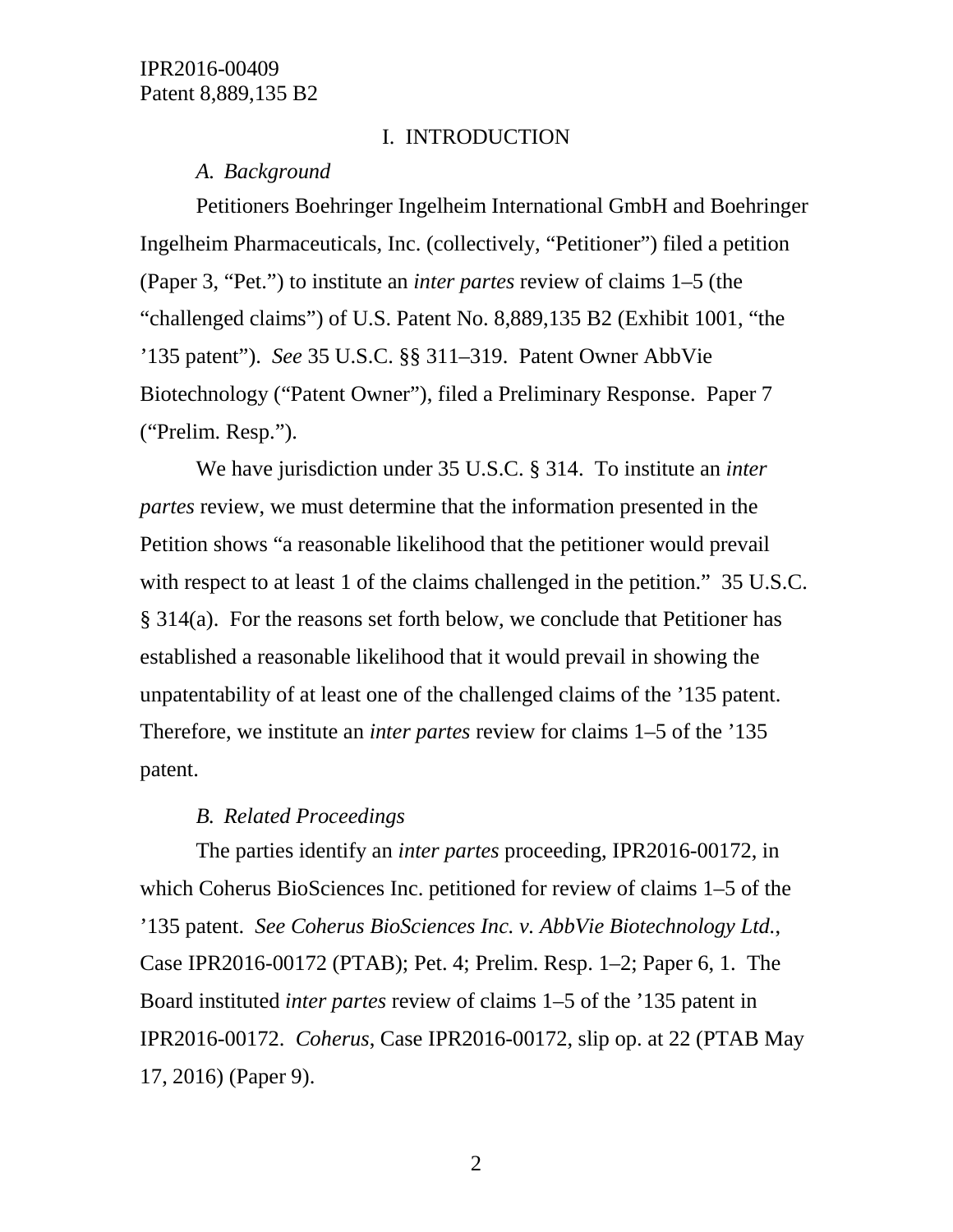#### I. INTRODUCTION

#### *A. Background*

Petitioners Boehringer Ingelheim International GmbH and Boehringer Ingelheim Pharmaceuticals, Inc. (collectively, "Petitioner") filed a petition (Paper 3, "Pet.") to institute an *inter partes* review of claims 1–5 (the "challenged claims") of U.S. Patent No. 8,889,135 B2 (Exhibit 1001, "the '135 patent"). *See* 35 U.S.C. §§ 311–319. Patent Owner AbbVie Biotechnology ("Patent Owner"), filed a Preliminary Response. Paper 7 ("Prelim. Resp.").

We have jurisdiction under 35 U.S.C. § 314. To institute an *inter partes* review, we must determine that the information presented in the Petition shows "a reasonable likelihood that the petitioner would prevail with respect to at least 1 of the claims challenged in the petition." 35 U.S.C. § 314(a). For the reasons set forth below, we conclude that Petitioner has established a reasonable likelihood that it would prevail in showing the unpatentability of at least one of the challenged claims of the '135 patent. Therefore, we institute an *inter partes* review for claims 1–5 of the '135 patent.

#### *B. Related Proceedings*

The parties identify an *inter partes* proceeding, IPR2016-00172, in which Coherus BioSciences Inc. petitioned for review of claims 1–5 of the '135 patent. *See Coherus BioSciences Inc. v. AbbVie Biotechnology Ltd.*, Case IPR2016-00172 (PTAB); Pet. 4; Prelim. Resp. 1–2; Paper 6, 1. The Board instituted *inter partes* review of claims 1–5 of the '135 patent in IPR2016-00172. *Coherus*, Case IPR2016-00172, slip op. at 22 (PTAB May 17, 2016) (Paper 9).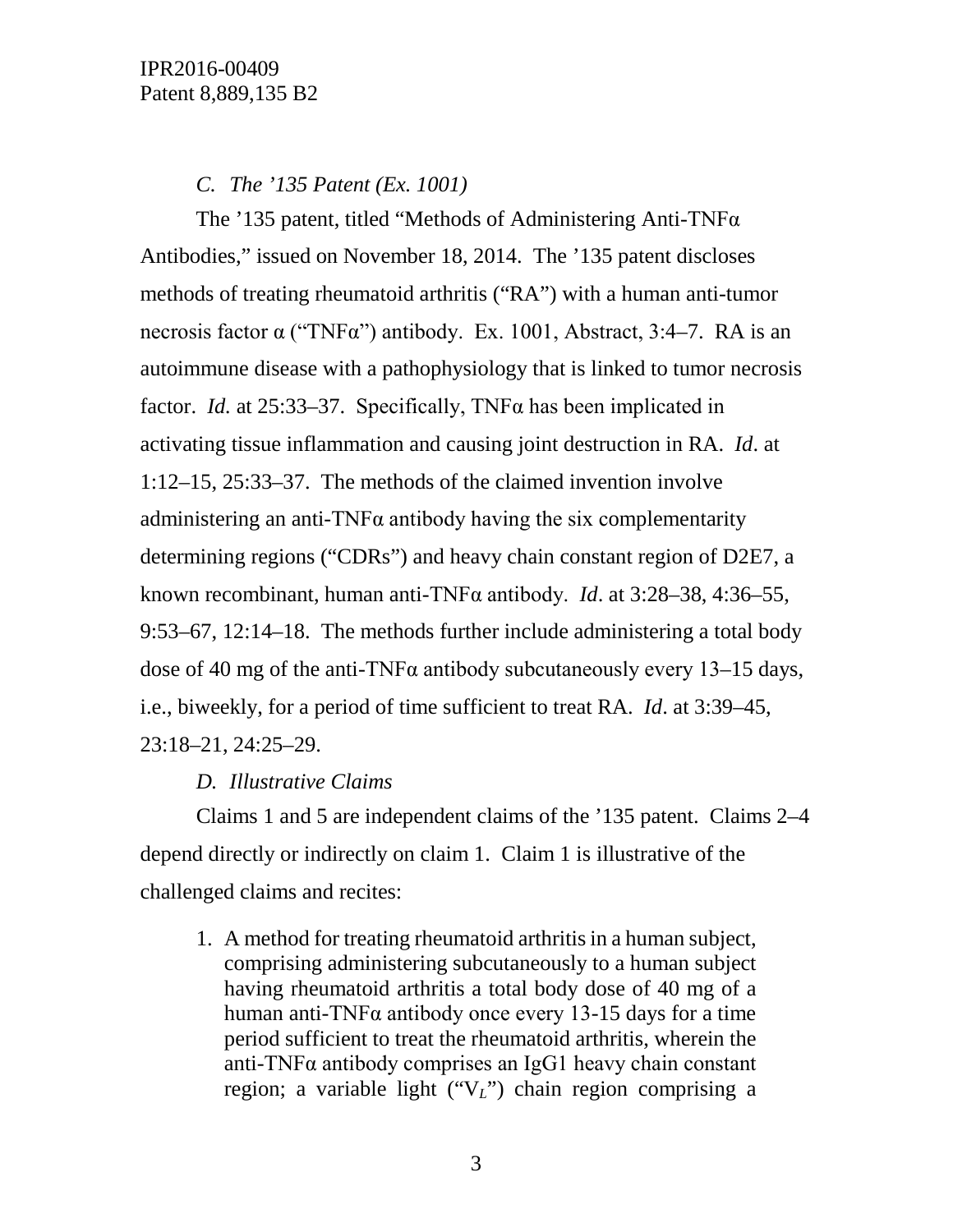# *C. The '135 Patent (Ex. 1001)*

The '135 patent, titled "Methods of Administering Anti-TNF $\alpha$ Antibodies," issued on November 18, 2014. The '135 patent discloses methods of treating rheumatoid arthritis ("RA") with a human anti-tumor necrosis factor α ("TNFα") antibody. Ex. 1001, Abstract, 3:4–7. RA is an autoimmune disease with a pathophysiology that is linked to tumor necrosis factor. *Id.* at 25:33–37. Specifically, TNFα has been implicated in activating tissue inflammation and causing joint destruction in RA. *Id*. at 1:12–15, 25:33–37. The methods of the claimed invention involve administering an anti-TNF $\alpha$  antibody having the six complementarity determining regions ("CDRs") and heavy chain constant region of D2E7, a known recombinant, human anti-TNFα antibody. *Id*. at 3:28–38, 4:36–55, 9:53–67, 12:14–18. The methods further include administering a total body dose of 40 mg of the anti-TNF $\alpha$  antibody subcutaneously every 13–15 days, i.e., biweekly, for a period of time sufficient to treat RA. *Id*. at 3:39–45, 23:18–21, 24:25–29.

# *D. Illustrative Claims*

Claims 1 and 5 are independent claims of the '135 patent. Claims 2–4 depend directly or indirectly on claim 1. Claim 1 is illustrative of the challenged claims and recites:

1. A method for treating rheumatoid arthritis in a human subject, comprising administering subcutaneously to a human subject having rheumatoid arthritis a total body dose of 40 mg of a human anti-TNF $\alpha$  antibody once every 13-15 days for a time period sufficient to treat the rheumatoid arthritis, wherein the anti-TNFα antibody comprises an IgG1 heavy chain constant region; a variable light ("V*L*") chain region comprising a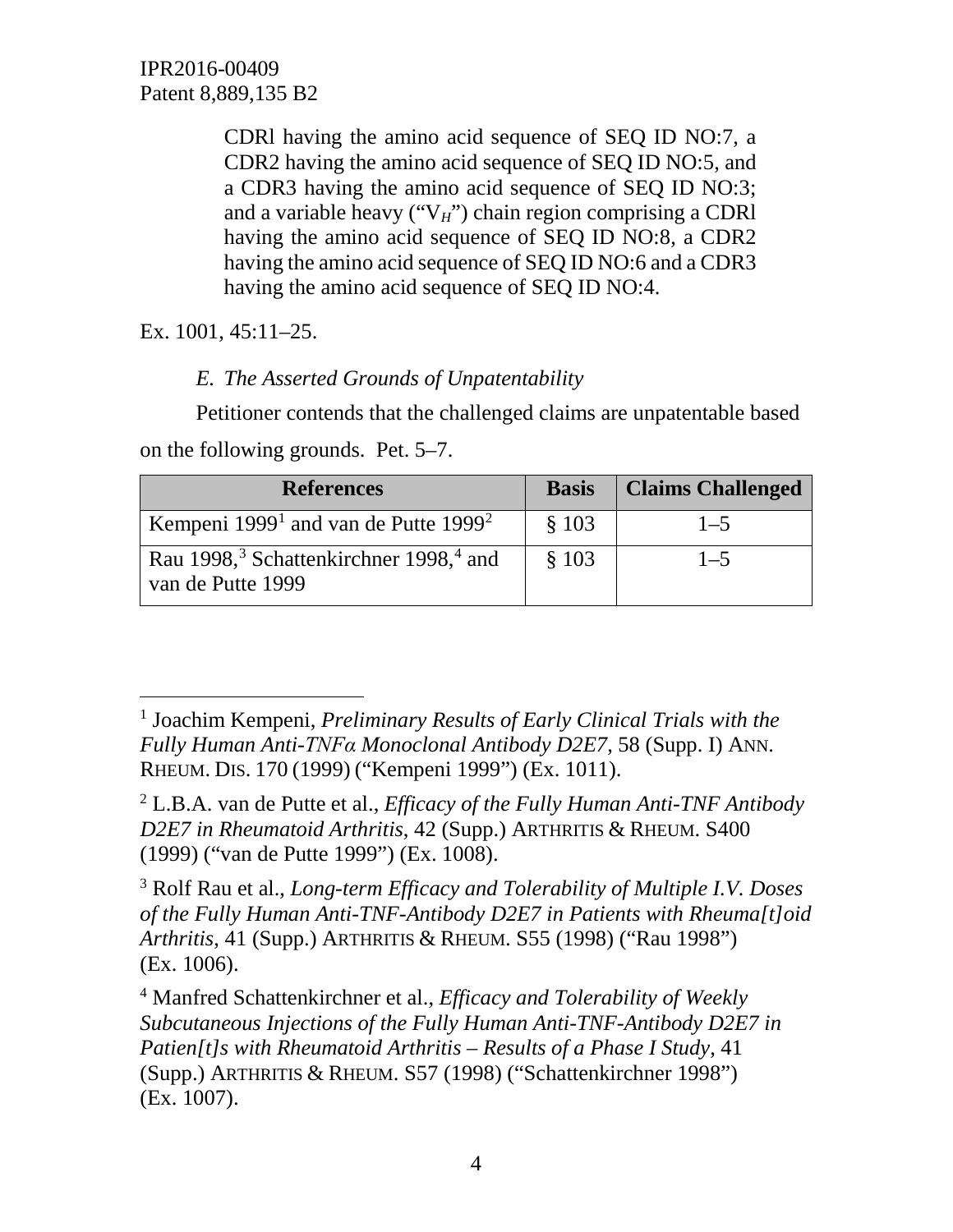CDRl having the amino acid sequence of SEQ ID NO:7, a CDR2 having the amino acid sequence of SEQ ID NO:5, and a CDR3 having the amino acid sequence of SEQ ID NO:3; and a variable heavy ("V*H*") chain region comprising a CDRl having the amino acid sequence of SEQ ID NO:8, a CDR2 having the amino acid sequence of SEQ ID NO:6 and a CDR3 having the amino acid sequence of SEQ ID NO:4.

Ex. 1001, 45:11–25.

# *E. The Asserted Grounds of Unpatentability*

Petitioner contends that the challenged claims are unpatentable based on the following grounds. Pet. 5–7.

| <b>References</b>                                                                   | <b>Basis</b> | <b>Claims Challenged</b> |
|-------------------------------------------------------------------------------------|--------------|--------------------------|
| Kempeni 1999 <sup>1</sup> and van de Putte 1999 <sup>2</sup>                        | \$103        | $1 - 5$                  |
| Rau 1998, <sup>3</sup> Schattenkirchner 1998, <sup>4</sup> and<br>van de Putte 1999 | \$103        | $1 - 5$                  |

<span id="page-3-2"></span><sup>3</sup> Rolf Rau et al., *Long-term Efficacy and Tolerability of Multiple I.V. Doses of the Fully Human Anti-TNF-Antibody D2E7 in Patients with Rheuma[t]oid Arthritis*, 41 (Supp.) ARTHRITIS & RHEUM. S55 (1998) ("Rau 1998") (Ex. 1006).

<span id="page-3-0"></span> <sup>1</sup> Joachim Kempeni, *Preliminary Results of Early Clinical Trials with the Fully Human Anti-TNFα Monoclonal Antibody D2E7*, 58 (Supp. I) ANN. RHEUM. DIS. 170 (1999) ("Kempeni 1999") (Ex. 1011).

<span id="page-3-1"></span><sup>2</sup> L.B.A. van de Putte et al., *Efficacy of the Fully Human Anti-TNF Antibody D2E7 in Rheumatoid Arthritis*, 42 (Supp.) ARTHRITIS & RHEUM. S400 (1999) ("van de Putte 1999") (Ex. 1008).

<span id="page-3-3"></span><sup>4</sup> Manfred Schattenkirchner et al., *Efficacy and Tolerability of Weekly Subcutaneous Injections of the Fully Human Anti-TNF-Antibody D2E7 in Patien[t]s with Rheumatoid Arthritis – Results of a Phase I Study*, 41 (Supp.) ARTHRITIS & RHEUM. S57 (1998) ("Schattenkirchner 1998") (Ex. 1007).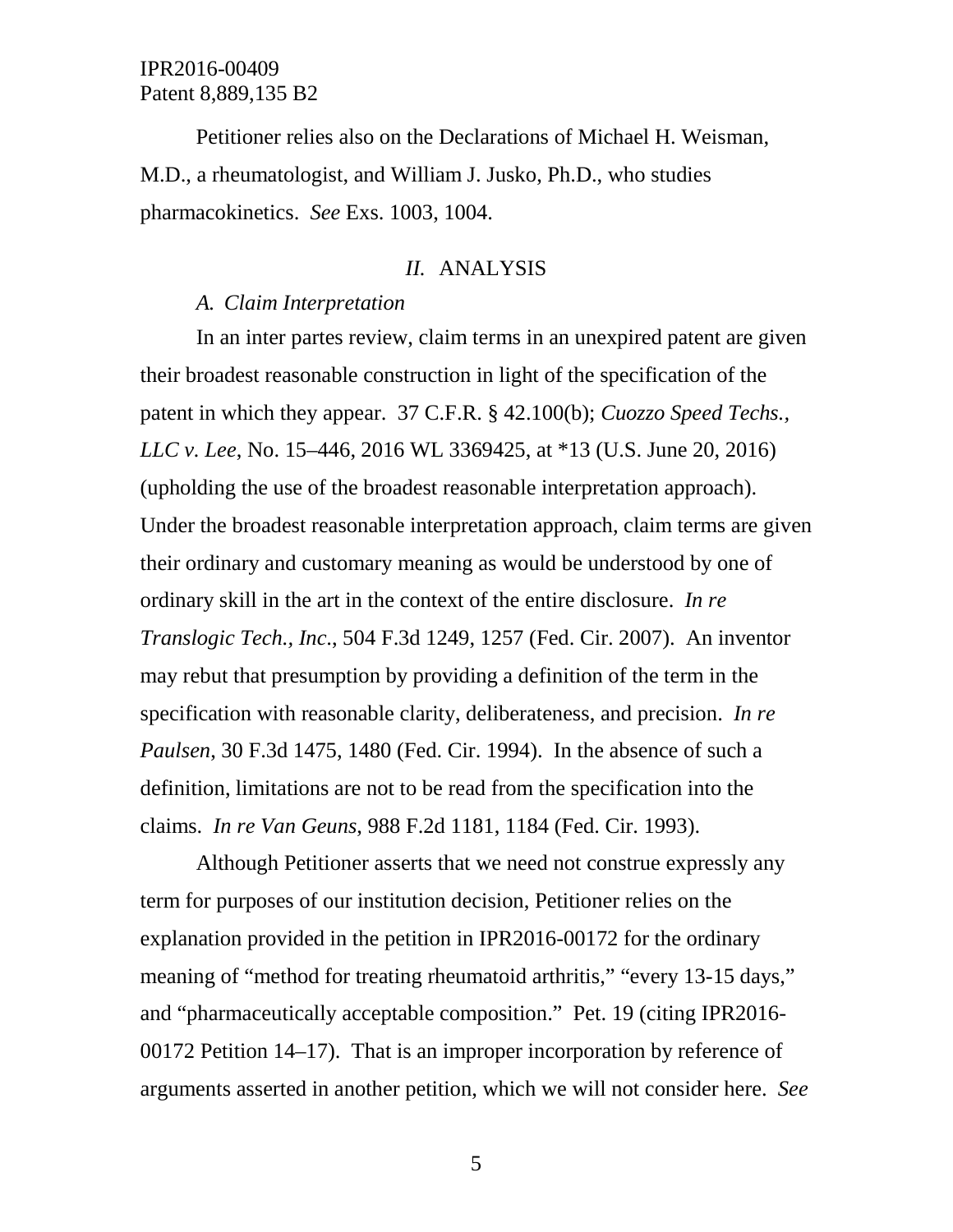Petitioner relies also on the Declarations of Michael H. Weisman, M.D., a rheumatologist, and William J. Jusko, Ph.D., who studies pharmacokinetics. *See* Exs. 1003, 1004.

#### *II.* ANALYSIS

### *A. Claim Interpretation*

In an inter partes review, claim terms in an unexpired patent are given their broadest reasonable construction in light of the specification of the patent in which they appear. 37 C.F.R. § 42.100(b); *Cuozzo Speed Techs., LLC v. Lee*, No. 15–446, 2016 WL 3369425, at \*13 (U.S. June 20, 2016) (upholding the use of the broadest reasonable interpretation approach). Under the broadest reasonable interpretation approach, claim terms are given their ordinary and customary meaning as would be understood by one of ordinary skill in the art in the context of the entire disclosure. *In re Translogic Tech., Inc*., 504 F.3d 1249, 1257 (Fed. Cir. 2007). An inventor may rebut that presumption by providing a definition of the term in the specification with reasonable clarity, deliberateness, and precision. *In re Paulsen*, 30 F.3d 1475, 1480 (Fed. Cir. 1994). In the absence of such a definition, limitations are not to be read from the specification into the claims. *In re Van Geuns*, 988 F.2d 1181, 1184 (Fed. Cir. 1993).

Although Petitioner asserts that we need not construe expressly any term for purposes of our institution decision, Petitioner relies on the explanation provided in the petition in IPR2016-00172 for the ordinary meaning of "method for treating rheumatoid arthritis," "every 13-15 days," and "pharmaceutically acceptable composition." Pet. 19 (citing IPR2016- 00172 Petition 14–17). That is an improper incorporation by reference of arguments asserted in another petition, which we will not consider here. *See*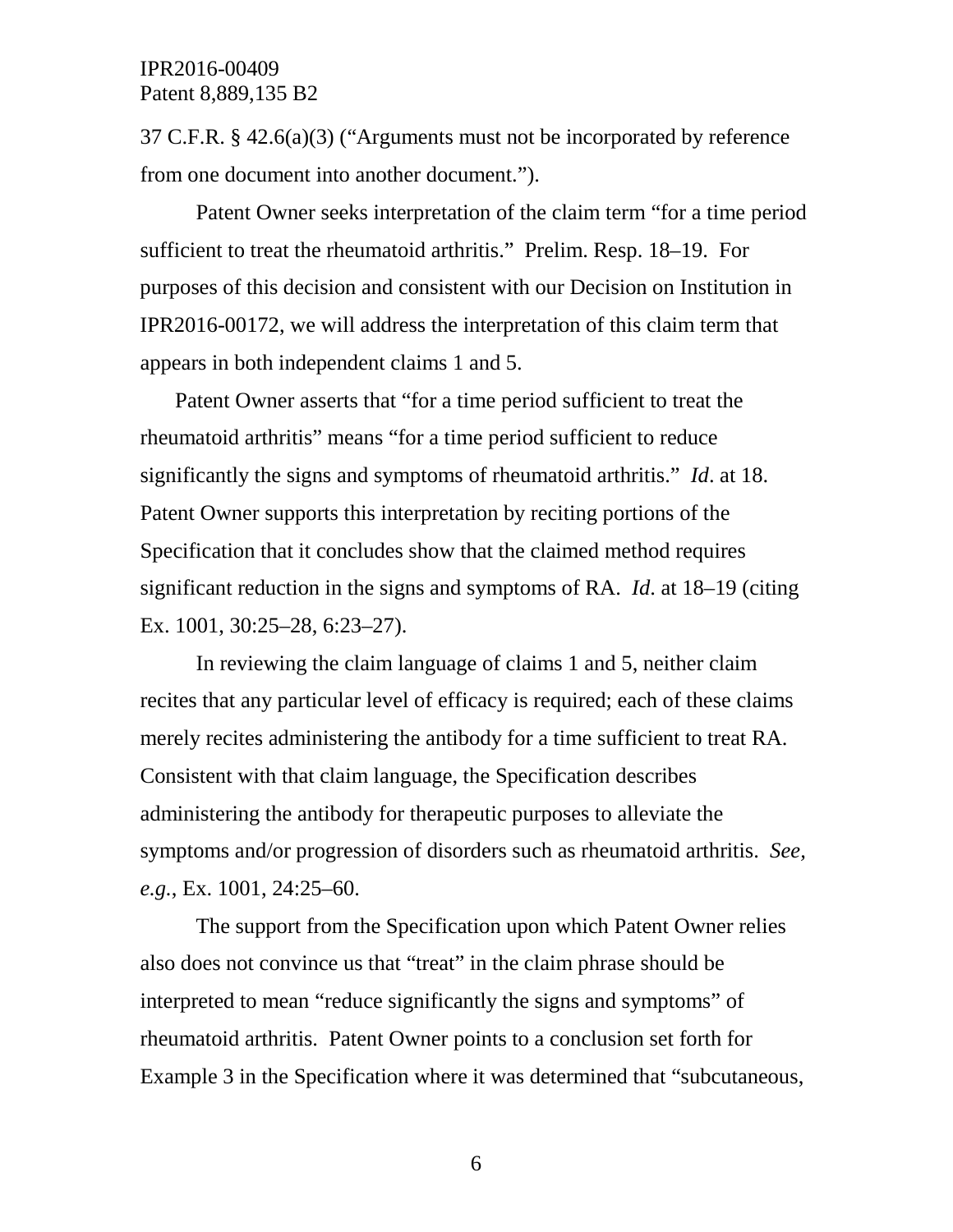37 C.F.R. § 42.6(a)(3) ("Arguments must not be incorporated by reference from one document into another document.").

Patent Owner seeks interpretation of the claim term "for a time period sufficient to treat the rheumatoid arthritis." Prelim. Resp. 18–19. For purposes of this decision and consistent with our Decision on Institution in IPR2016-00172, we will address the interpretation of this claim term that appears in both independent claims 1 and 5.

Patent Owner asserts that "for a time period sufficient to treat the rheumatoid arthritis" means "for a time period sufficient to reduce significantly the signs and symptoms of rheumatoid arthritis." *Id*. at 18. Patent Owner supports this interpretation by reciting portions of the Specification that it concludes show that the claimed method requires significant reduction in the signs and symptoms of RA. *Id*. at 18–19 (citing Ex. 1001, 30:25–28, 6:23–27).

In reviewing the claim language of claims 1 and 5, neither claim recites that any particular level of efficacy is required; each of these claims merely recites administering the antibody for a time sufficient to treat RA. Consistent with that claim language, the Specification describes administering the antibody for therapeutic purposes to alleviate the symptoms and/or progression of disorders such as rheumatoid arthritis. *See, e.g.*, Ex. 1001, 24:25–60.

The support from the Specification upon which Patent Owner relies also does not convince us that "treat" in the claim phrase should be interpreted to mean "reduce significantly the signs and symptoms" of rheumatoid arthritis. Patent Owner points to a conclusion set forth for Example 3 in the Specification where it was determined that "subcutaneous,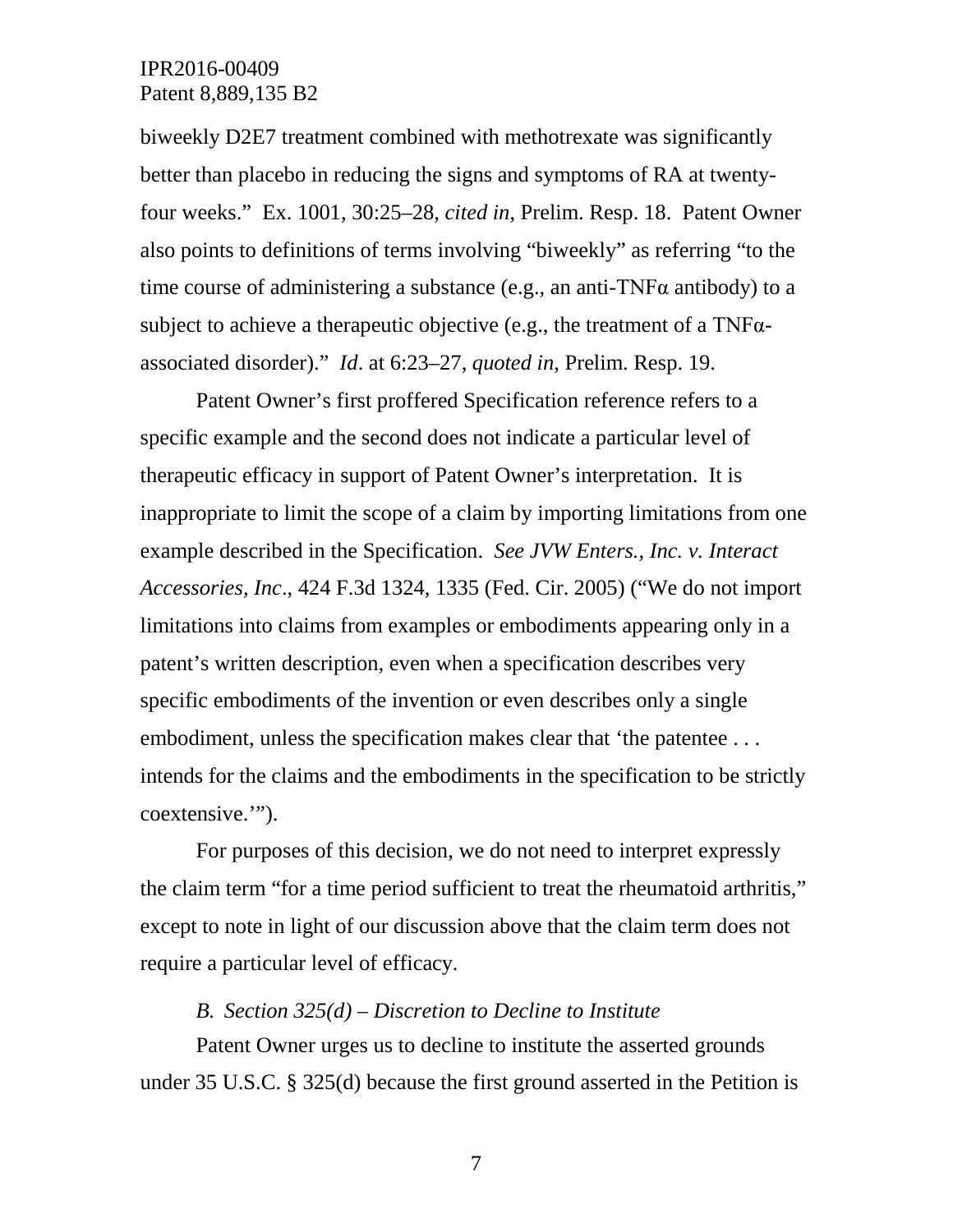biweekly D2E7 treatment combined with methotrexate was significantly better than placebo in reducing the signs and symptoms of RA at twentyfour weeks." Ex. 1001, 30:25–28, *cited in*, Prelim. Resp. 18. Patent Owner also points to definitions of terms involving "biweekly" as referring "to the time course of administering a substance (e.g., an anti-TNF $\alpha$  antibody) to a subject to achieve a therapeutic objective (e.g., the treatment of a  $TNF\alpha$ associated disorder)." *Id*. at 6:23–27, *quoted in*, Prelim. Resp. 19.

Patent Owner's first proffered Specification reference refers to a specific example and the second does not indicate a particular level of therapeutic efficacy in support of Patent Owner's interpretation. It is inappropriate to limit the scope of a claim by importing limitations from one example described in the Specification. *See JVW Enters., Inc. v. Interact Accessories, Inc*., 424 F.3d 1324, 1335 (Fed. Cir. 2005) ("We do not import limitations into claims from examples or embodiments appearing only in a patent's written description, even when a specification describes very specific embodiments of the invention or even describes only a single embodiment, unless the specification makes clear that 'the patentee . . . intends for the claims and the embodiments in the specification to be strictly coextensive.'").

For purposes of this decision, we do not need to interpret expressly the claim term "for a time period sufficient to treat the rheumatoid arthritis," except to note in light of our discussion above that the claim term does not require a particular level of efficacy.

#### *B. Section 325(d) – Discretion to Decline to Institute*

Patent Owner urges us to decline to institute the asserted grounds under 35 U.S.C. § 325(d) because the first ground asserted in the Petition is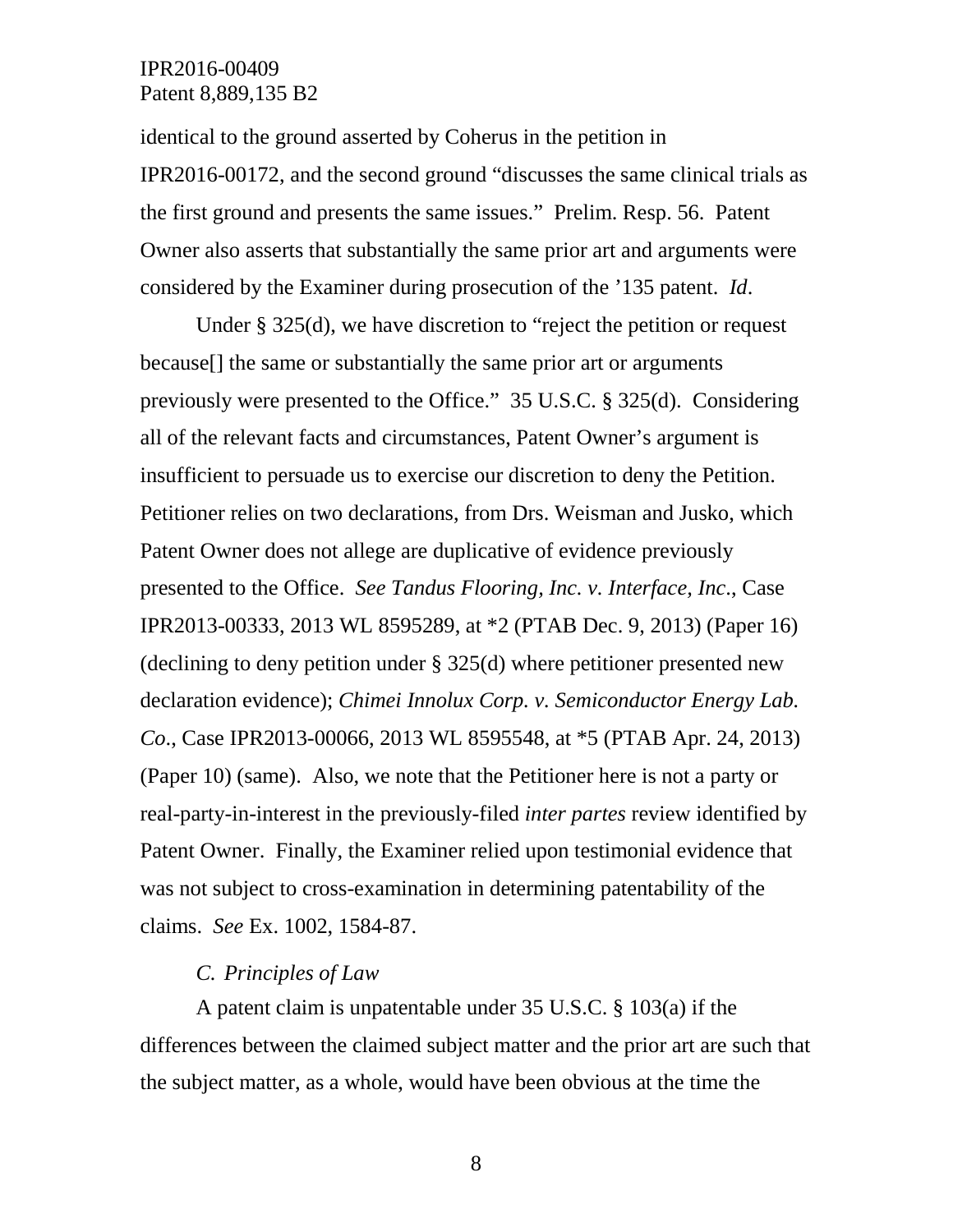identical to the ground asserted by Coherus in the petition in IPR2016-00172, and the second ground "discusses the same clinical trials as the first ground and presents the same issues." Prelim. Resp. 56. Patent Owner also asserts that substantially the same prior art and arguments were considered by the Examiner during prosecution of the '135 patent. *Id*.

Under § 325(d), we have discretion to "reject the petition or request because[] the same or substantially the same prior art or arguments previously were presented to the Office." 35 U.S.C. § 325(d). Considering all of the relevant facts and circumstances, Patent Owner's argument is insufficient to persuade us to exercise our discretion to deny the Petition. Petitioner relies on two declarations, from Drs. Weisman and Jusko, which Patent Owner does not allege are duplicative of evidence previously presented to the Office. *See Tandus Flooring, Inc. v. Interface, Inc*., Case IPR2013-00333, 2013 WL 8595289, at \*2 (PTAB Dec. 9, 2013) (Paper 16) (declining to deny petition under § 325(d) where petitioner presented new declaration evidence); *Chimei Innolux Corp. v. Semiconductor Energy Lab. Co*., Case IPR2013-00066, 2013 WL 8595548, at \*5 (PTAB Apr. 24, 2013) (Paper 10) (same). Also, we note that the Petitioner here is not a party or real-party-in-interest in the previously-filed *inter partes* review identified by Patent Owner. Finally, the Examiner relied upon testimonial evidence that was not subject to cross-examination in determining patentability of the claims. *See* Ex. 1002, 1584-87.

### *C. Principles of Law*

A patent claim is unpatentable under 35 U.S.C. § 103(a) if the differences between the claimed subject matter and the prior art are such that the subject matter, as a whole, would have been obvious at the time the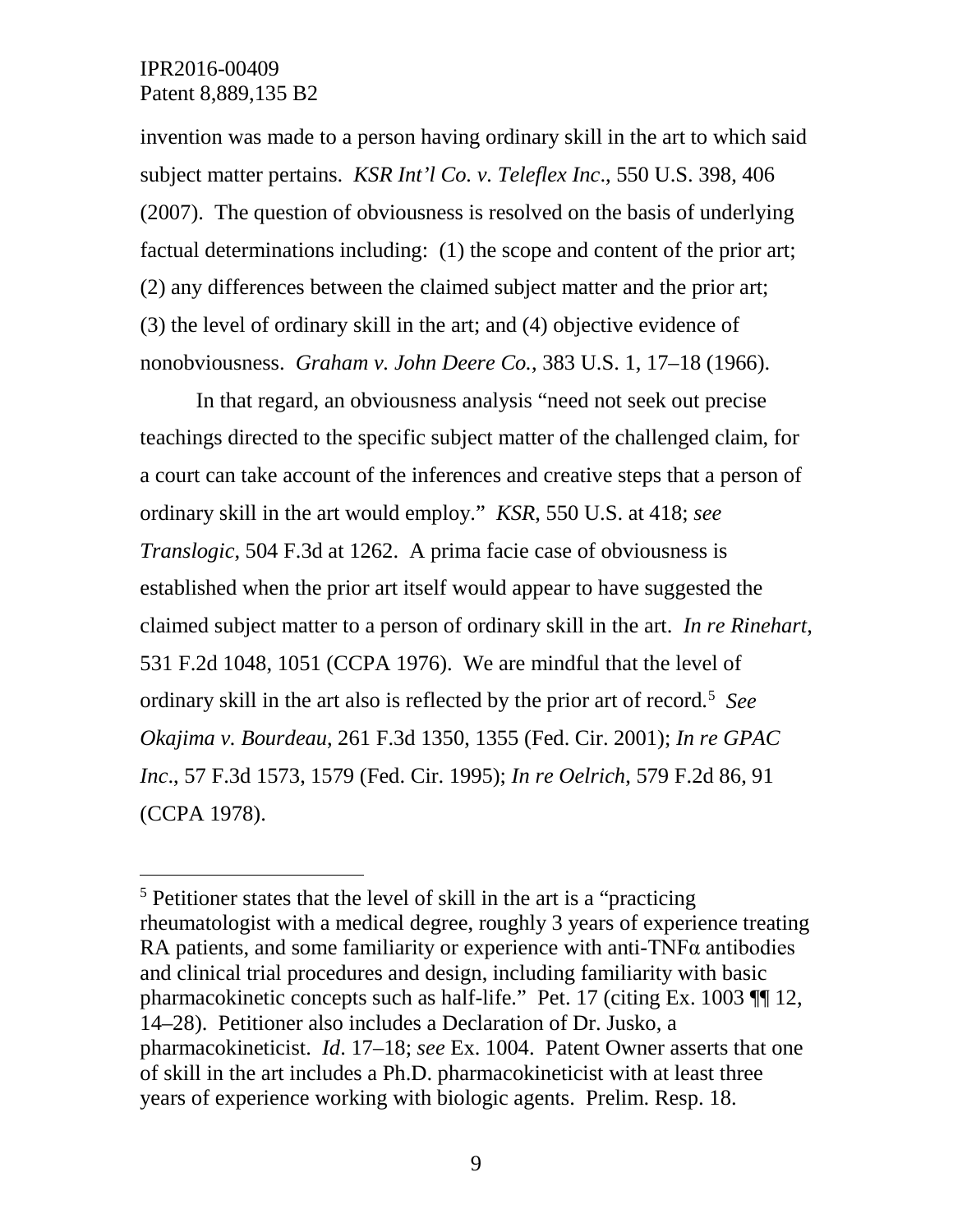invention was made to a person having ordinary skill in the art to which said subject matter pertains. *KSR Int'l Co. v. Teleflex Inc*., 550 U.S. 398, 406 (2007). The question of obviousness is resolved on the basis of underlying factual determinations including: (1) the scope and content of the prior art; (2) any differences between the claimed subject matter and the prior art; (3) the level of ordinary skill in the art; and (4) objective evidence of nonobviousness. *Graham v. John Deere Co.*, 383 U.S. 1, 17–18 (1966).

In that regard, an obviousness analysis "need not seek out precise teachings directed to the specific subject matter of the challenged claim, for a court can take account of the inferences and creative steps that a person of ordinary skill in the art would employ." *KSR*, 550 U.S. at 418; *see Translogic*, 504 F.3d at 1262. A prima facie case of obviousness is established when the prior art itself would appear to have suggested the claimed subject matter to a person of ordinary skill in the art. *In re Rinehart*, 531 F.2d 1048, 1051 (CCPA 1976). We are mindful that the level of ordinary skill in the art also is reflected by the prior art of record.<sup>[5](#page-8-0)</sup> See *Okajima v. Bourdeau*, 261 F.3d 1350, 1355 (Fed. Cir. 2001); *In re GPAC Inc*., 57 F.3d 1573, 1579 (Fed. Cir. 1995); *In re Oelrich*, 579 F.2d 86, 91 (CCPA 1978).

<span id="page-8-0"></span> <sup>5</sup> Petitioner states that the level of skill in the art is a "practicing rheumatologist with a medical degree, roughly 3 years of experience treating RA patients, and some familiarity or experience with anti-TNF $\alpha$  antibodies and clinical trial procedures and design, including familiarity with basic pharmacokinetic concepts such as half-life." Pet. 17 (citing Ex. 1003 ¶¶ 12, 14–28). Petitioner also includes a Declaration of Dr. Jusko, a pharmacokineticist. *Id*. 17–18; *see* Ex. 1004. Patent Owner asserts that one of skill in the art includes a Ph.D. pharmacokineticist with at least three years of experience working with biologic agents. Prelim. Resp. 18.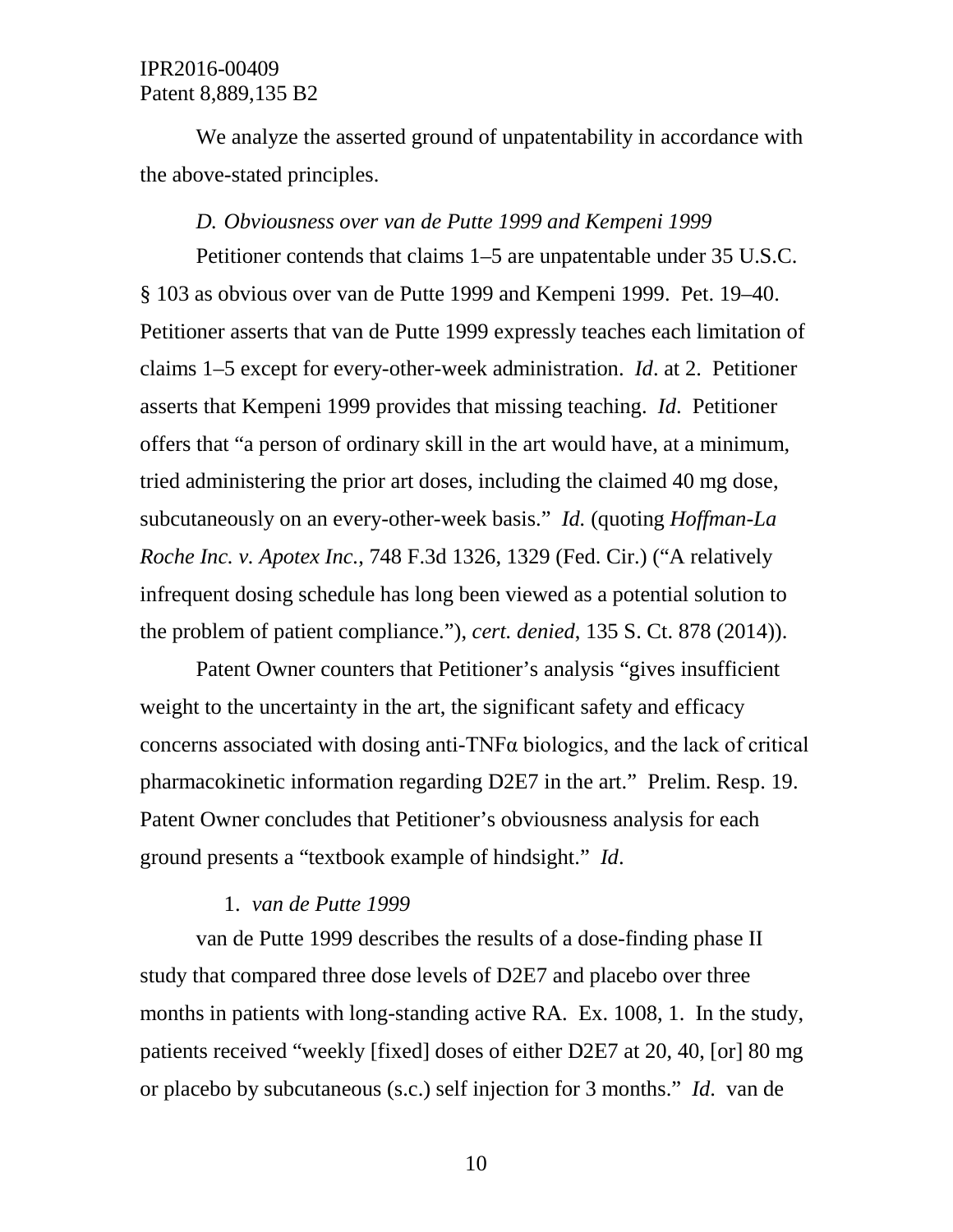We analyze the asserted ground of unpatentability in accordance with the above-stated principles.

#### *D. Obviousness over van de Putte 1999 and Kempeni 1999*

Petitioner contends that claims 1–5 are unpatentable under 35 U.S.C. § 103 as obvious over van de Putte 1999 and Kempeni 1999. Pet. 19–40. Petitioner asserts that van de Putte 1999 expressly teaches each limitation of claims 1–5 except for every-other-week administration. *Id*. at 2. Petitioner asserts that Kempeni 1999 provides that missing teaching. *Id*. Petitioner offers that "a person of ordinary skill in the art would have, at a minimum, tried administering the prior art doses, including the claimed 40 mg dose, subcutaneously on an every-other-week basis." *Id.* (quoting *Hoffman-La Roche Inc. v. Apotex Inc.*, 748 F.3d 1326, 1329 (Fed. Cir.) ("A relatively infrequent dosing schedule has long been viewed as a potential solution to the problem of patient compliance."), *cert. denied*, 135 S. Ct. 878 (2014)).

Patent Owner counters that Petitioner's analysis "gives insufficient weight to the uncertainty in the art, the significant safety and efficacy concerns associated with dosing anti-TNFα biologics, and the lack of critical pharmacokinetic information regarding D2E7 in the art." Prelim. Resp. 19. Patent Owner concludes that Petitioner's obviousness analysis for each ground presents a "textbook example of hindsight." *Id*.

#### 1. *van de Putte 1999*

van de Putte 1999 describes the results of a dose-finding phase II study that compared three dose levels of D2E7 and placebo over three months in patients with long-standing active RA. Ex. 1008, 1. In the study, patients received "weekly [fixed] doses of either D2E7 at 20, 40, [or] 80 mg or placebo by subcutaneous (s.c.) self injection for 3 months." *Id*. van de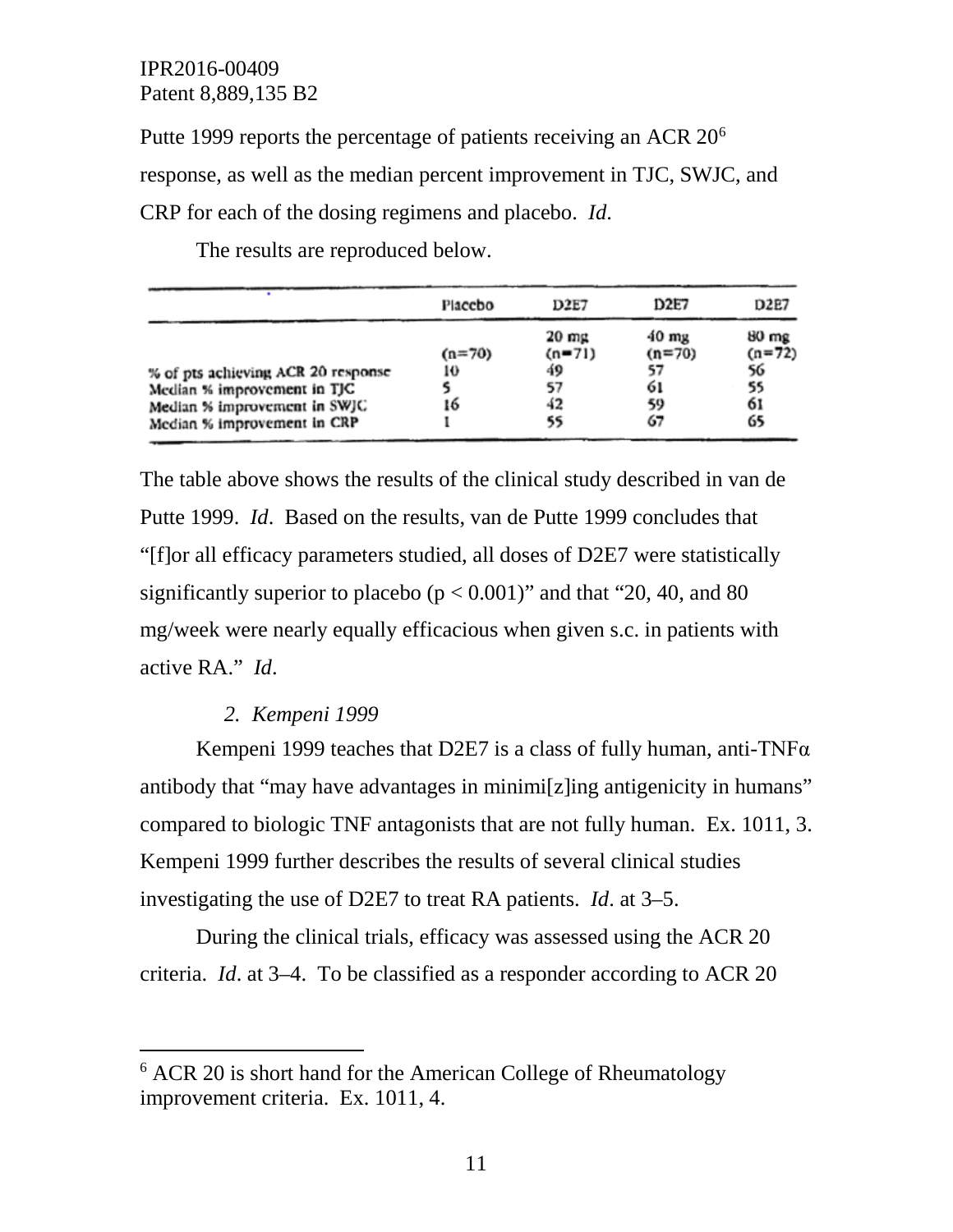Putte 1999 reports the percentage of patients receiving an ACR  $20<sup>6</sup>$  $20<sup>6</sup>$  $20<sup>6</sup>$ response, as well as the median percent improvement in TJC, SWJC, and CRP for each of the dosing regimens and placebo. *Id*.

|                                                                                                                                  | Placebo              | D <sub>2E7</sub>                                      | <b>D2E7</b>                                         | D2E7                                                |
|----------------------------------------------------------------------------------------------------------------------------------|----------------------|-------------------------------------------------------|-----------------------------------------------------|-----------------------------------------------------|
| % of pts achieving ACR 20 response<br>Median % improvement in TJC<br>Median % improvement in SWJC<br>Median % improvement in CRP | $(n=70)$<br>10<br>16 | $20 \text{ mg}$<br>$(n = 71)$<br>49<br>57<br>42<br>55 | $40 \text{ mg}$<br>$(n=70)$<br>57<br>61<br>59<br>67 | $80 \text{ mg}$<br>$(n=72)$<br>56<br>55<br>61<br>65 |

The results are reproduced below.

The table above shows the results of the clinical study described in van de Putte 1999. *Id*. Based on the results, van de Putte 1999 concludes that "[f]or all efficacy parameters studied, all doses of D2E7 were statistically significantly superior to placebo ( $p < 0.001$ )" and that "20, 40, and 80 mg/week were nearly equally efficacious when given s.c. in patients with active RA." *Id*.

#### *2. Kempeni 1999*

Kempeni 1999 teaches that D2E7 is a class of fully human, anti-TNF $\alpha$ antibody that "may have advantages in minimi[z]ing antigenicity in humans" compared to biologic TNF antagonists that are not fully human. Ex. 1011, 3. Kempeni 1999 further describes the results of several clinical studies investigating the use of D2E7 to treat RA patients. *Id*. at 3–5.

During the clinical trials, efficacy was assessed using the ACR 20 criteria. *Id*. at 3–4. To be classified as a responder according to ACR 20

<span id="page-10-0"></span><sup>&</sup>lt;sup>6</sup> ACR 20 is short hand for the American College of Rheumatology improvement criteria. Ex. 1011, 4.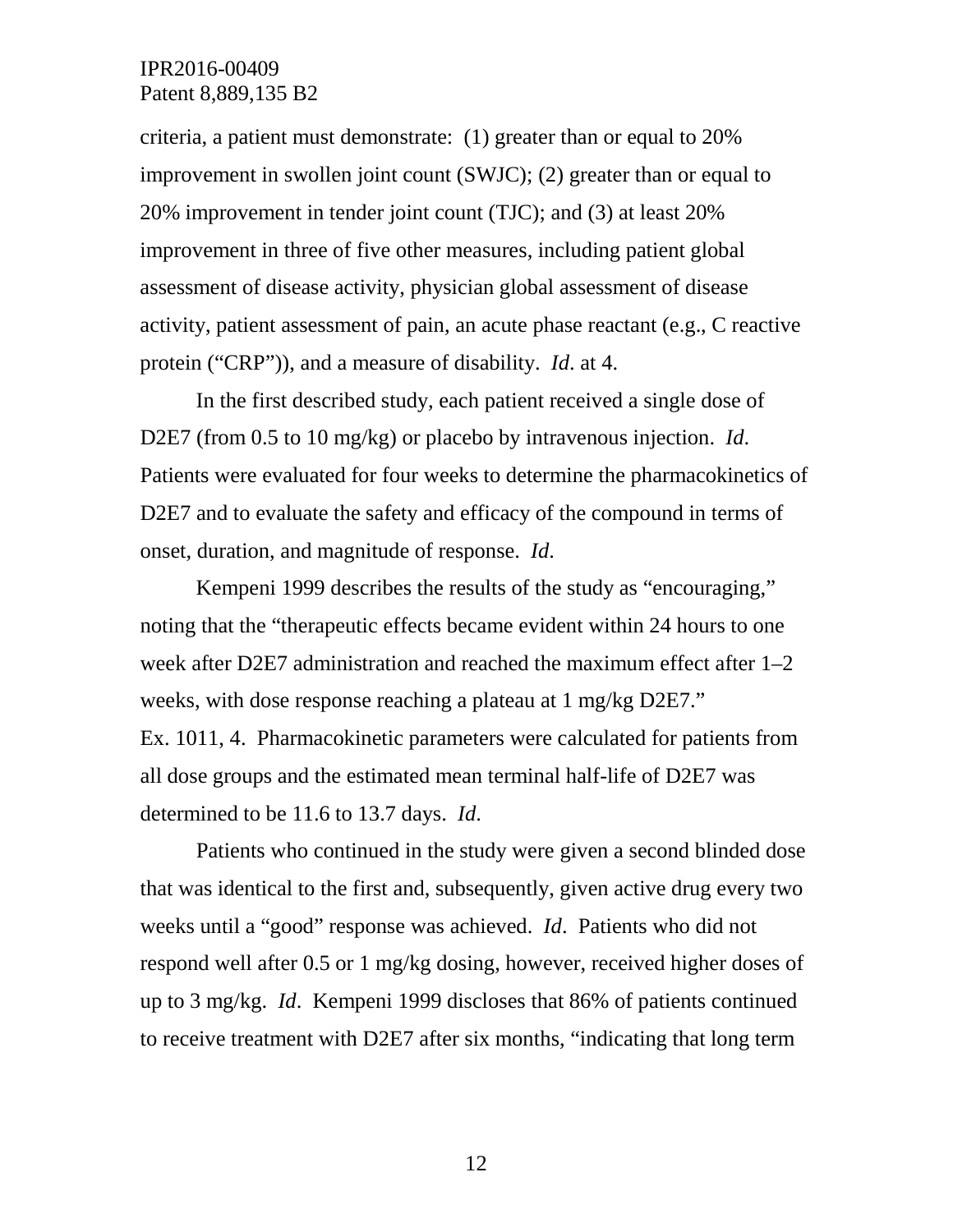criteria, a patient must demonstrate: (1) greater than or equal to 20% improvement in swollen joint count (SWJC); (2) greater than or equal to 20% improvement in tender joint count (TJC); and (3) at least 20% improvement in three of five other measures, including patient global assessment of disease activity, physician global assessment of disease activity, patient assessment of pain, an acute phase reactant (e.g., C reactive protein ("CRP")), and a measure of disability. *Id*. at 4.

In the first described study, each patient received a single dose of D2E7 (from 0.5 to 10 mg/kg) or placebo by intravenous injection. *Id*. Patients were evaluated for four weeks to determine the pharmacokinetics of D2E7 and to evaluate the safety and efficacy of the compound in terms of onset, duration, and magnitude of response. *Id*.

Kempeni 1999 describes the results of the study as "encouraging," noting that the "therapeutic effects became evident within 24 hours to one week after D2E7 administration and reached the maximum effect after 1–2 weeks, with dose response reaching a plateau at 1 mg/kg D2E7." Ex. 1011, 4. Pharmacokinetic parameters were calculated for patients from all dose groups and the estimated mean terminal half-life of D2E7 was determined to be 11.6 to 13.7 days. *Id*.

Patients who continued in the study were given a second blinded dose that was identical to the first and, subsequently, given active drug every two weeks until a "good" response was achieved. *Id*. Patients who did not respond well after 0.5 or 1 mg/kg dosing, however, received higher doses of up to 3 mg/kg. *Id*. Kempeni 1999 discloses that 86% of patients continued to receive treatment with D2E7 after six months, "indicating that long term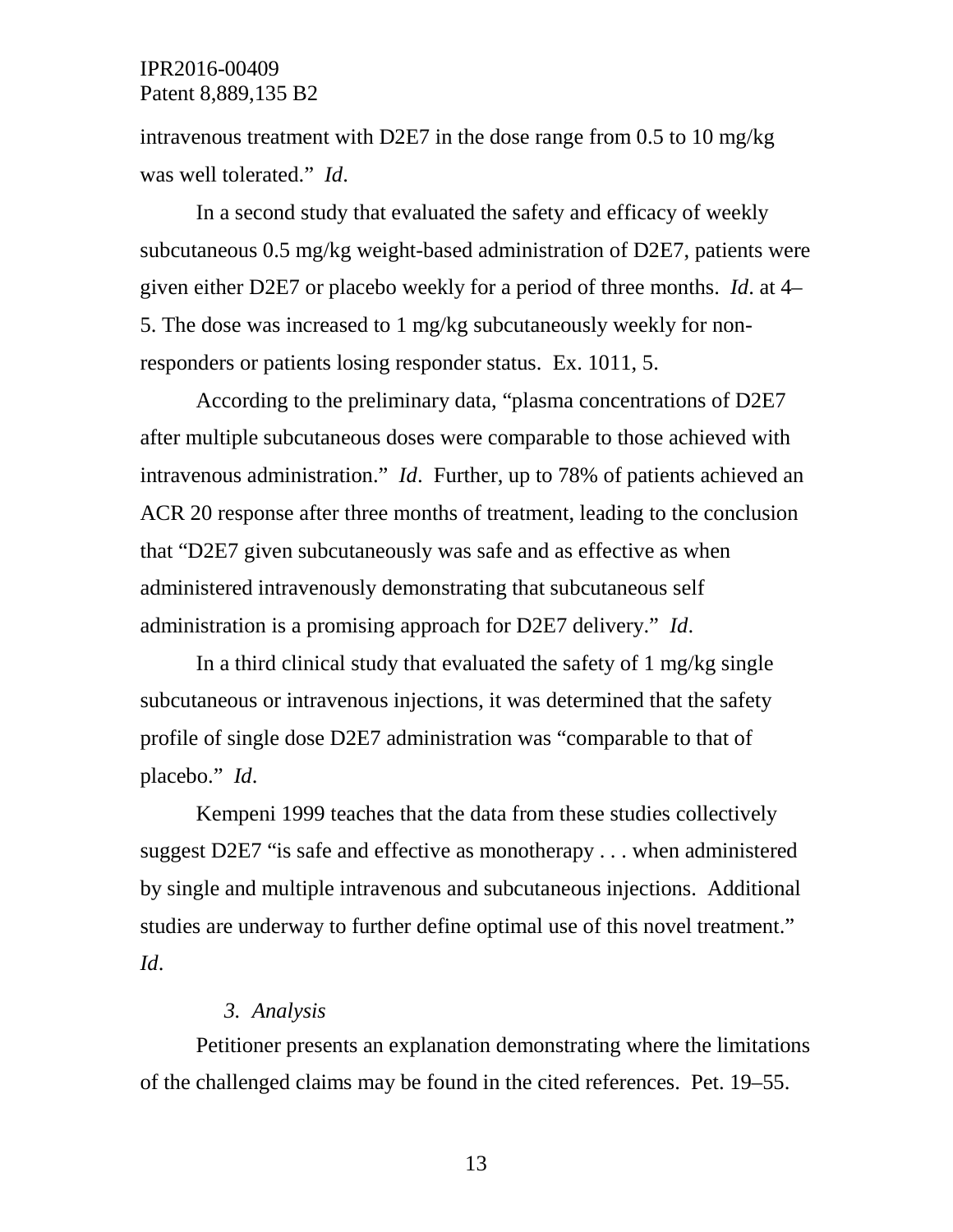intravenous treatment with D2E7 in the dose range from 0.5 to 10 mg/kg was well tolerated." *Id*.

In a second study that evaluated the safety and efficacy of weekly subcutaneous 0.5 mg/kg weight-based administration of D2E7, patients were given either D2E7 or placebo weekly for a period of three months. *Id*. at 4– 5. The dose was increased to 1 mg/kg subcutaneously weekly for nonresponders or patients losing responder status. Ex. 1011, 5.

According to the preliminary data, "plasma concentrations of D2E7 after multiple subcutaneous doses were comparable to those achieved with intravenous administration." *Id*. Further, up to 78% of patients achieved an ACR 20 response after three months of treatment, leading to the conclusion that "D2E7 given subcutaneously was safe and as effective as when administered intravenously demonstrating that subcutaneous self administration is a promising approach for D2E7 delivery." *Id*.

In a third clinical study that evaluated the safety of 1 mg/kg single subcutaneous or intravenous injections, it was determined that the safety profile of single dose D2E7 administration was "comparable to that of placebo." *Id*.

Kempeni 1999 teaches that the data from these studies collectively suggest D2E7 "is safe and effective as monotherapy . . . when administered by single and multiple intravenous and subcutaneous injections. Additional studies are underway to further define optimal use of this novel treatment." *Id*.

#### *3. Analysis*

Petitioner presents an explanation demonstrating where the limitations of the challenged claims may be found in the cited references. Pet. 19–55.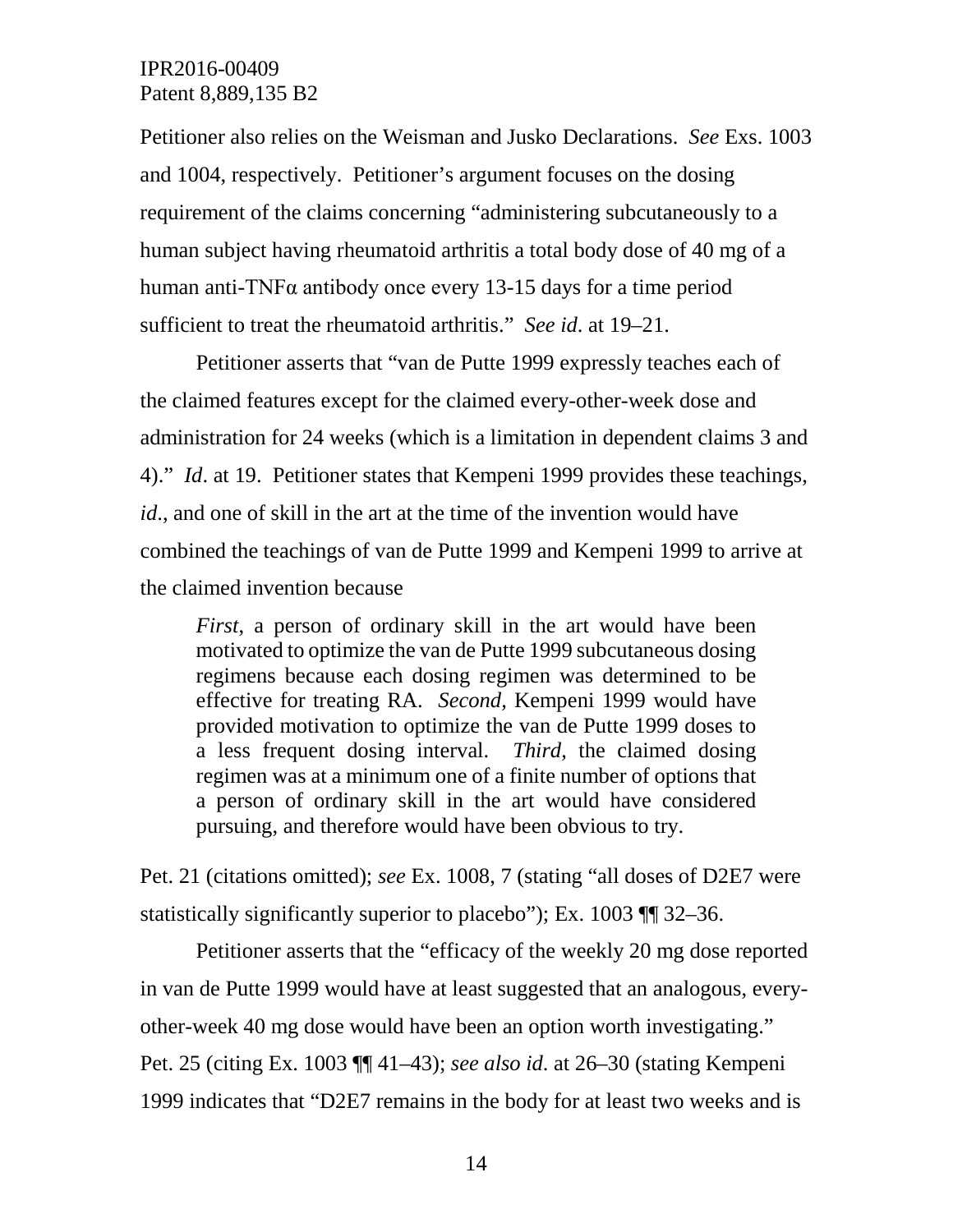Petitioner also relies on the Weisman and Jusko Declarations. *See* Exs. 1003 and 1004, respectively. Petitioner's argument focuses on the dosing requirement of the claims concerning "administering subcutaneously to a human subject having rheumatoid arthritis a total body dose of 40 mg of a human anti-TNFα antibody once every 13-15 days for a time period sufficient to treat the rheumatoid arthritis." *See id*. at 19–21.

Petitioner asserts that "van de Putte 1999 expressly teaches each of the claimed features except for the claimed every-other-week dose and administration for 24 weeks (which is a limitation in dependent claims 3 and 4)." *Id*. at 19. Petitioner states that Kempeni 1999 provides these teachings, *id*., and one of skill in the art at the time of the invention would have combined the teachings of van de Putte 1999 and Kempeni 1999 to arrive at the claimed invention because

*First*, a person of ordinary skill in the art would have been motivated to optimize the van de Putte 1999 subcutaneous dosing regimens because each dosing regimen was determined to be effective for treating RA. *Second,* Kempeni 1999 would have provided motivation to optimize the van de Putte 1999 doses to a less frequent dosing interval. *Third*, the claimed dosing regimen was at a minimum one of a finite number of options that a person of ordinary skill in the art would have considered pursuing, and therefore would have been obvious to try.

Pet. 21 (citations omitted); *see* Ex. 1008, 7 (stating "all doses of D2E7 were statistically significantly superior to placebo"); Ex. 1003 ¶¶ 32–36.

Petitioner asserts that the "efficacy of the weekly 20 mg dose reported in van de Putte 1999 would have at least suggested that an analogous, everyother-week 40 mg dose would have been an option worth investigating." Pet. 25 (citing Ex. 1003 ¶¶ 41–43); *see also id*. at 26–30 (stating Kempeni 1999 indicates that "D2E7 remains in the body for at least two weeks and is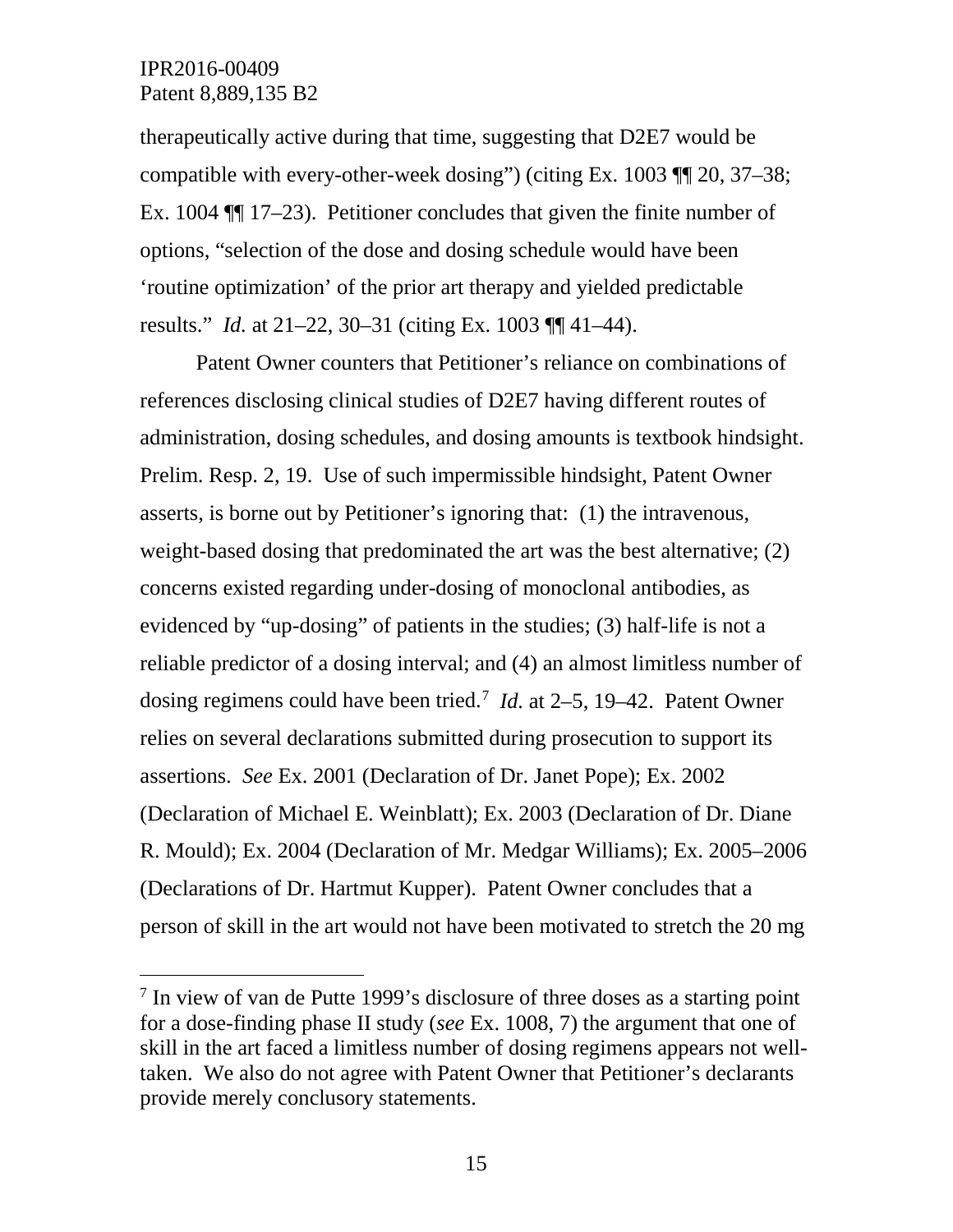therapeutically active during that time, suggesting that D2E7 would be compatible with every-other-week dosing") (citing Ex. 1003 ¶¶ 20, 37–38; Ex. 1004 ¶¶ 17–23). Petitioner concludes that given the finite number of options, "selection of the dose and dosing schedule would have been 'routine optimization' of the prior art therapy and yielded predictable results." *Id.* at 21–22, 30–31 (citing Ex. 1003 ¶¶ 41–44).

Patent Owner counters that Petitioner's reliance on combinations of references disclosing clinical studies of D2E7 having different routes of administration, dosing schedules, and dosing amounts is textbook hindsight. Prelim. Resp. 2, 19. Use of such impermissible hindsight, Patent Owner asserts, is borne out by Petitioner's ignoring that: (1) the intravenous, weight-based dosing that predominated the art was the best alternative; (2) concerns existed regarding under-dosing of monoclonal antibodies, as evidenced by "up-dosing" of patients in the studies; (3) half-life is not a reliable predictor of a dosing interval; and (4) an almost limitless number of dosing regimens could have been tried. [7](#page-14-0) *Id.* at 2–5, 19–42. Patent Owner relies on several declarations submitted during prosecution to support its assertions. *See* Ex. 2001 (Declaration of Dr. Janet Pope); Ex. 2002 (Declaration of Michael E. Weinblatt); Ex. 2003 (Declaration of Dr. Diane R. Mould); Ex. 2004 (Declaration of Mr. Medgar Williams); Ex. 2005–2006 (Declarations of Dr. Hartmut Kupper). Patent Owner concludes that a person of skill in the art would not have been motivated to stretch the 20 mg

<span id="page-14-0"></span> <sup>7</sup> In view of van de Putte 1999's disclosure of three doses as a starting point for a dose-finding phase II study (*see* Ex. 1008, 7) the argument that one of skill in the art faced a limitless number of dosing regimens appears not welltaken. We also do not agree with Patent Owner that Petitioner's declarants provide merely conclusory statements.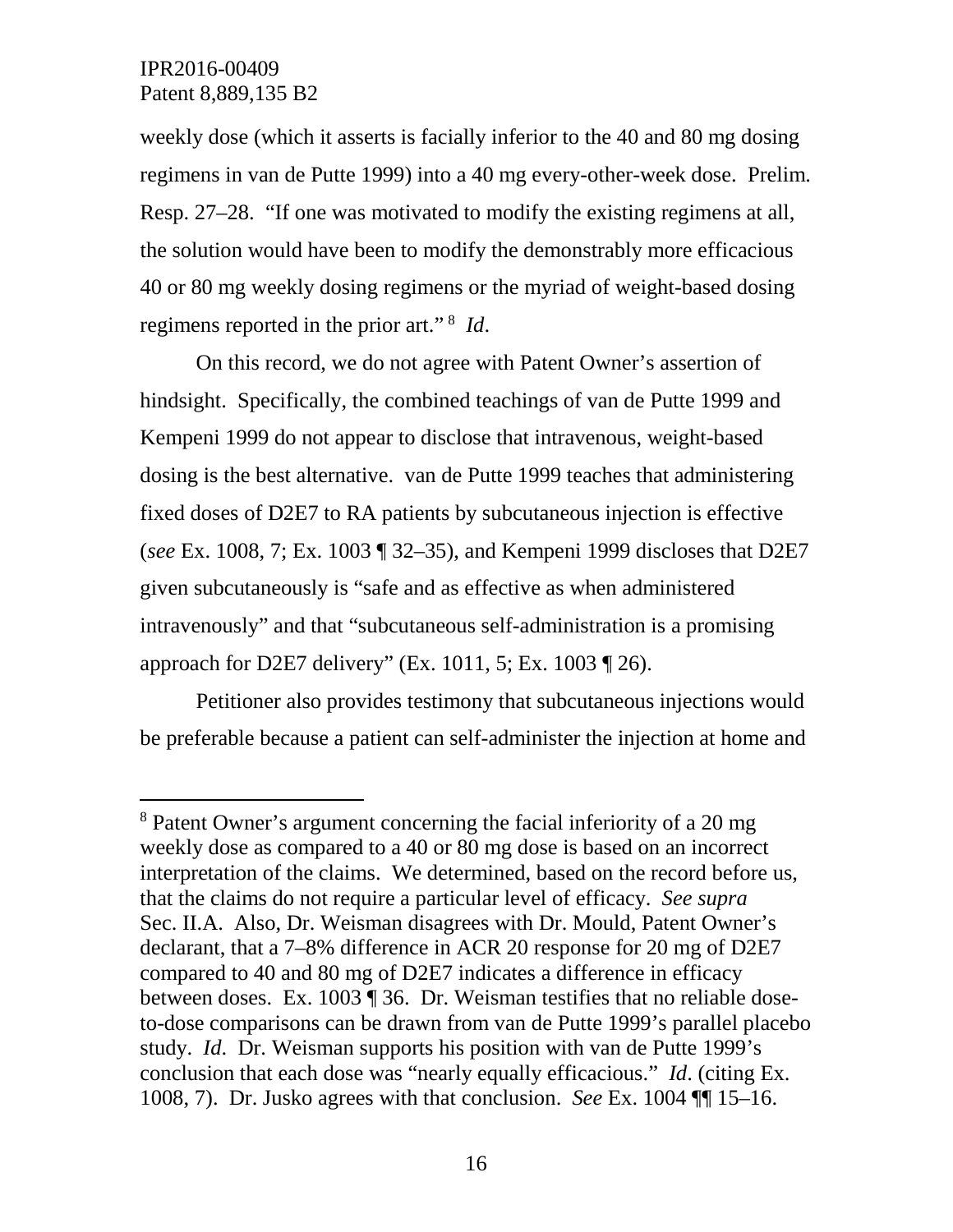weekly dose (which it asserts is facially inferior to the 40 and 80 mg dosing regimens in van de Putte 1999) into a 40 mg every-other-week dose. Prelim. Resp. 27–28. "If one was motivated to modify the existing regimens at all, the solution would have been to modify the demonstrably more efficacious 40 or 80 mg weekly dosing regimens or the myriad of weight-based dosing regimens reported in the prior art." [8](#page-15-0) *Id*.

On this record, we do not agree with Patent Owner's assertion of hindsight. Specifically, the combined teachings of van de Putte 1999 and Kempeni 1999 do not appear to disclose that intravenous, weight-based dosing is the best alternative. van de Putte 1999 teaches that administering fixed doses of D2E7 to RA patients by subcutaneous injection is effective (*see* Ex. 1008, 7; Ex. 1003 ¶ 32–35), and Kempeni 1999 discloses that D2E7 given subcutaneously is "safe and as effective as when administered intravenously" and that "subcutaneous self-administration is a promising approach for D2E7 delivery" (Ex. 1011, 5; Ex. 1003 ¶ 26).

Petitioner also provides testimony that subcutaneous injections would be preferable because a patient can self-administer the injection at home and

<span id="page-15-0"></span> <sup>8</sup> Patent Owner's argument concerning the facial inferiority of a 20 mg weekly dose as compared to a 40 or 80 mg dose is based on an incorrect interpretation of the claims. We determined, based on the record before us, that the claims do not require a particular level of efficacy. *See supra* Sec. II.A. Also, Dr. Weisman disagrees with Dr. Mould, Patent Owner's declarant, that a 7–8% difference in ACR 20 response for 20 mg of D2E7 compared to 40 and 80 mg of D2E7 indicates a difference in efficacy between doses. Ex. 1003 ¶ 36. Dr. Weisman testifies that no reliable doseto-dose comparisons can be drawn from van de Putte 1999's parallel placebo study. *Id*. Dr. Weisman supports his position with van de Putte 1999's conclusion that each dose was "nearly equally efficacious." *Id*. (citing Ex. 1008, 7). Dr. Jusko agrees with that conclusion. *See* Ex. 1004 ¶¶ 15–16.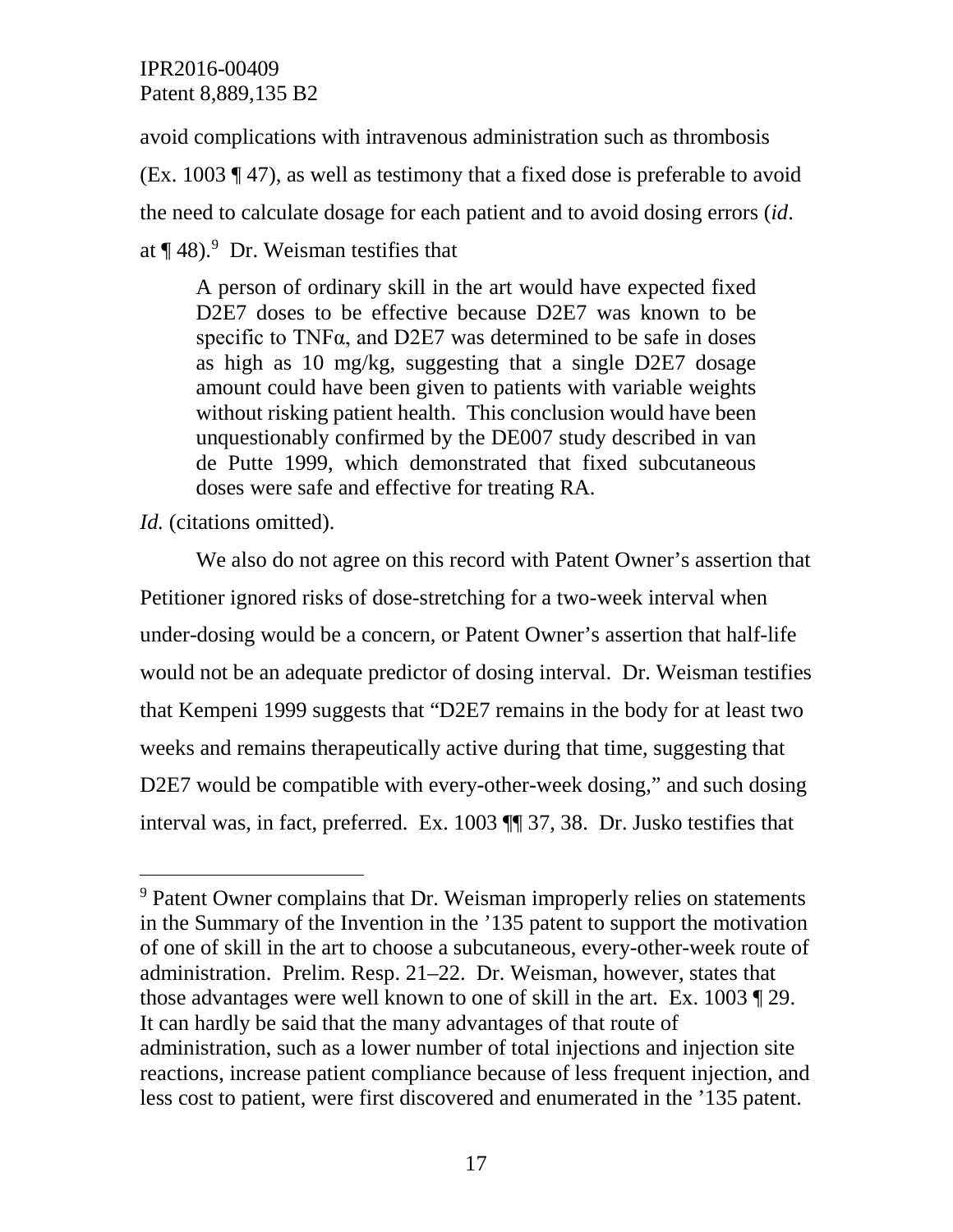avoid complications with intravenous administration such as thrombosis (Ex. 1003 ¶ 47), as well as testimony that a fixed dose is preferable to avoid the need to calculate dosage for each patient and to avoid dosing errors (*id*. at  $\P$  48).<sup>[9](#page-16-0)</sup> Dr. Weisman testifies that

A person of ordinary skill in the art would have expected fixed D2E7 doses to be effective because D2E7 was known to be specific to TNF $\alpha$ , and D2E7 was determined to be safe in doses as high as 10 mg/kg, suggesting that a single D2E7 dosage amount could have been given to patients with variable weights without risking patient health. This conclusion would have been unquestionably confirmed by the DE007 study described in van de Putte 1999, which demonstrated that fixed subcutaneous doses were safe and effective for treating RA.

*Id.* (citations omitted).

We also do not agree on this record with Patent Owner's assertion that Petitioner ignored risks of dose-stretching for a two-week interval when under-dosing would be a concern, or Patent Owner's assertion that half-life would not be an adequate predictor of dosing interval. Dr. Weisman testifies that Kempeni 1999 suggests that "D2E7 remains in the body for at least two weeks and remains therapeutically active during that time, suggesting that D2E7 would be compatible with every-other-week dosing," and such dosing interval was, in fact, preferred. Ex. 1003 ¶¶ 37, 38. Dr. Jusko testifies that

<span id="page-16-0"></span><sup>&</sup>lt;sup>9</sup> Patent Owner complains that Dr. Weisman improperly relies on statements in the Summary of the Invention in the '135 patent to support the motivation of one of skill in the art to choose a subcutaneous, every-other-week route of administration. Prelim. Resp. 21–22. Dr. Weisman, however, states that those advantages were well known to one of skill in the art. Ex. 1003 ¶ 29. It can hardly be said that the many advantages of that route of administration, such as a lower number of total injections and injection site reactions, increase patient compliance because of less frequent injection, and less cost to patient, were first discovered and enumerated in the '135 patent.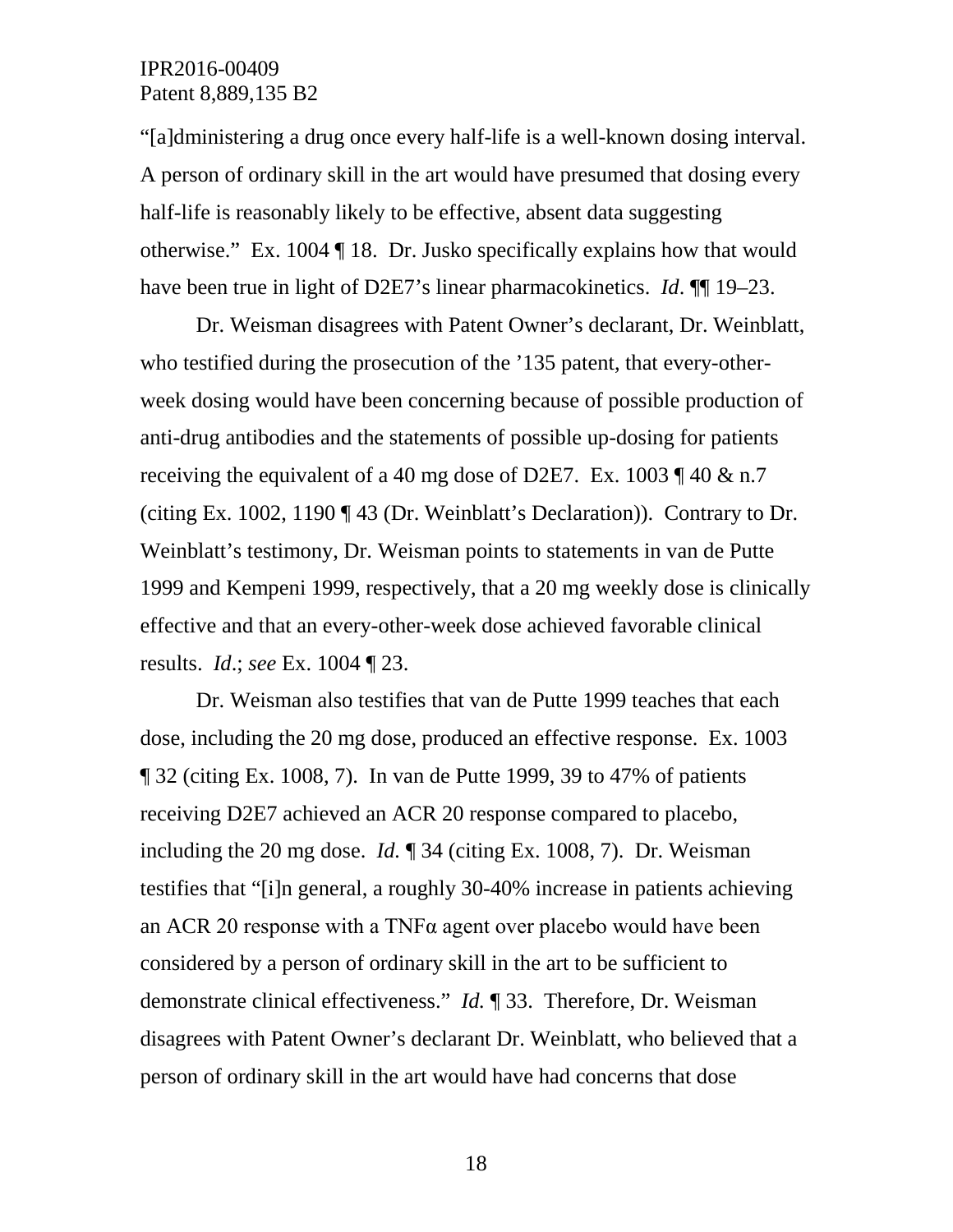"[a]dministering a drug once every half-life is a well-known dosing interval. A person of ordinary skill in the art would have presumed that dosing every half-life is reasonably likely to be effective, absent data suggesting otherwise." Ex. 1004 ¶ 18. Dr. Jusko specifically explains how that would have been true in light of D2E7's linear pharmacokinetics. *Id*. ¶¶ 19–23.

Dr. Weisman disagrees with Patent Owner's declarant, Dr. Weinblatt, who testified during the prosecution of the '135 patent, that every-otherweek dosing would have been concerning because of possible production of anti-drug antibodies and the statements of possible up-dosing for patients receiving the equivalent of a 40 mg dose of D2E7. Ex. 1003  $\P$  40 & n.7 (citing Ex. 1002, 1190 ¶ 43 (Dr. Weinblatt's Declaration)). Contrary to Dr. Weinblatt's testimony, Dr. Weisman points to statements in van de Putte 1999 and Kempeni 1999, respectively, that a 20 mg weekly dose is clinically effective and that an every-other-week dose achieved favorable clinical results. *Id*.; *see* Ex. 1004 ¶ 23.

Dr. Weisman also testifies that van de Putte 1999 teaches that each dose, including the 20 mg dose, produced an effective response. Ex. 1003 ¶ 32 (citing Ex. 1008, 7). In van de Putte 1999, 39 to 47% of patients receiving D2E7 achieved an ACR 20 response compared to placebo, including the 20 mg dose. *Id.* ¶ 34 (citing Ex. 1008, 7). Dr. Weisman testifies that "[i]n general, a roughly 30-40% increase in patients achieving an ACR 20 response with a TNFα agent over placebo would have been considered by a person of ordinary skill in the art to be sufficient to demonstrate clinical effectiveness." *Id.* ¶ 33. Therefore, Dr. Weisman disagrees with Patent Owner's declarant Dr. Weinblatt, who believed that a person of ordinary skill in the art would have had concerns that dose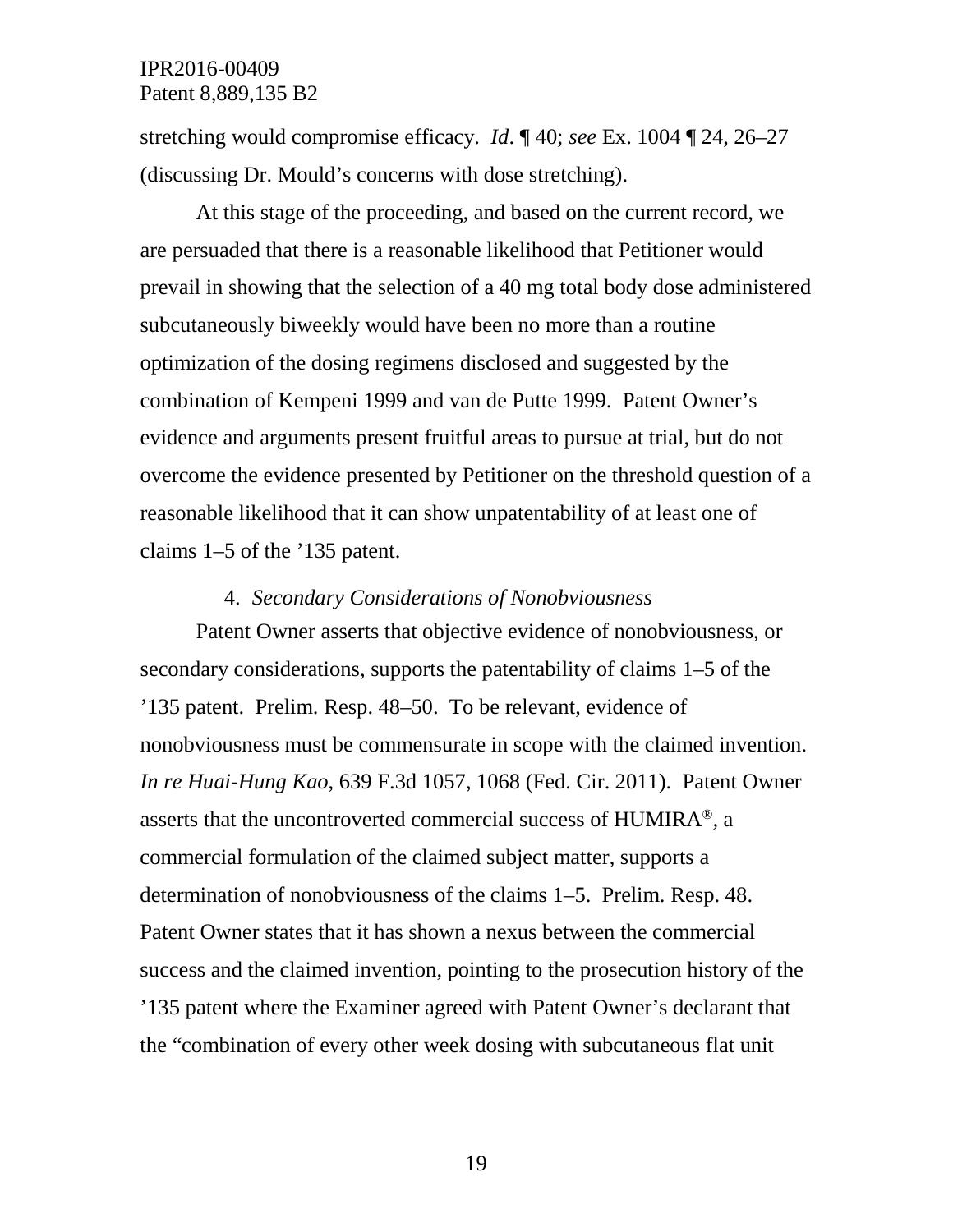stretching would compromise efficacy. *Id*. ¶ 40; *see* Ex. 1004 ¶ 24, 26–27 (discussing Dr. Mould's concerns with dose stretching).

At this stage of the proceeding, and based on the current record, we are persuaded that there is a reasonable likelihood that Petitioner would prevail in showing that the selection of a 40 mg total body dose administered subcutaneously biweekly would have been no more than a routine optimization of the dosing regimens disclosed and suggested by the combination of Kempeni 1999 and van de Putte 1999. Patent Owner's evidence and arguments present fruitful areas to pursue at trial, but do not overcome the evidence presented by Petitioner on the threshold question of a reasonable likelihood that it can show unpatentability of at least one of claims 1–5 of the '135 patent.

#### 4. *Secondary Considerations of Nonobviousness*

Patent Owner asserts that objective evidence of nonobviousness, or secondary considerations, supports the patentability of claims 1–5 of the '135 patent. Prelim. Resp. 48–50. To be relevant, evidence of nonobviousness must be commensurate in scope with the claimed invention. *In re Huai-Hung Kao*, 639 F.3d 1057, 1068 (Fed. Cir. 2011). Patent Owner asserts that the uncontroverted commercial success of HUMIRA®, a commercial formulation of the claimed subject matter, supports a determination of nonobviousness of the claims 1–5. Prelim. Resp. 48. Patent Owner states that it has shown a nexus between the commercial success and the claimed invention, pointing to the prosecution history of the '135 patent where the Examiner agreed with Patent Owner's declarant that the "combination of every other week dosing with subcutaneous flat unit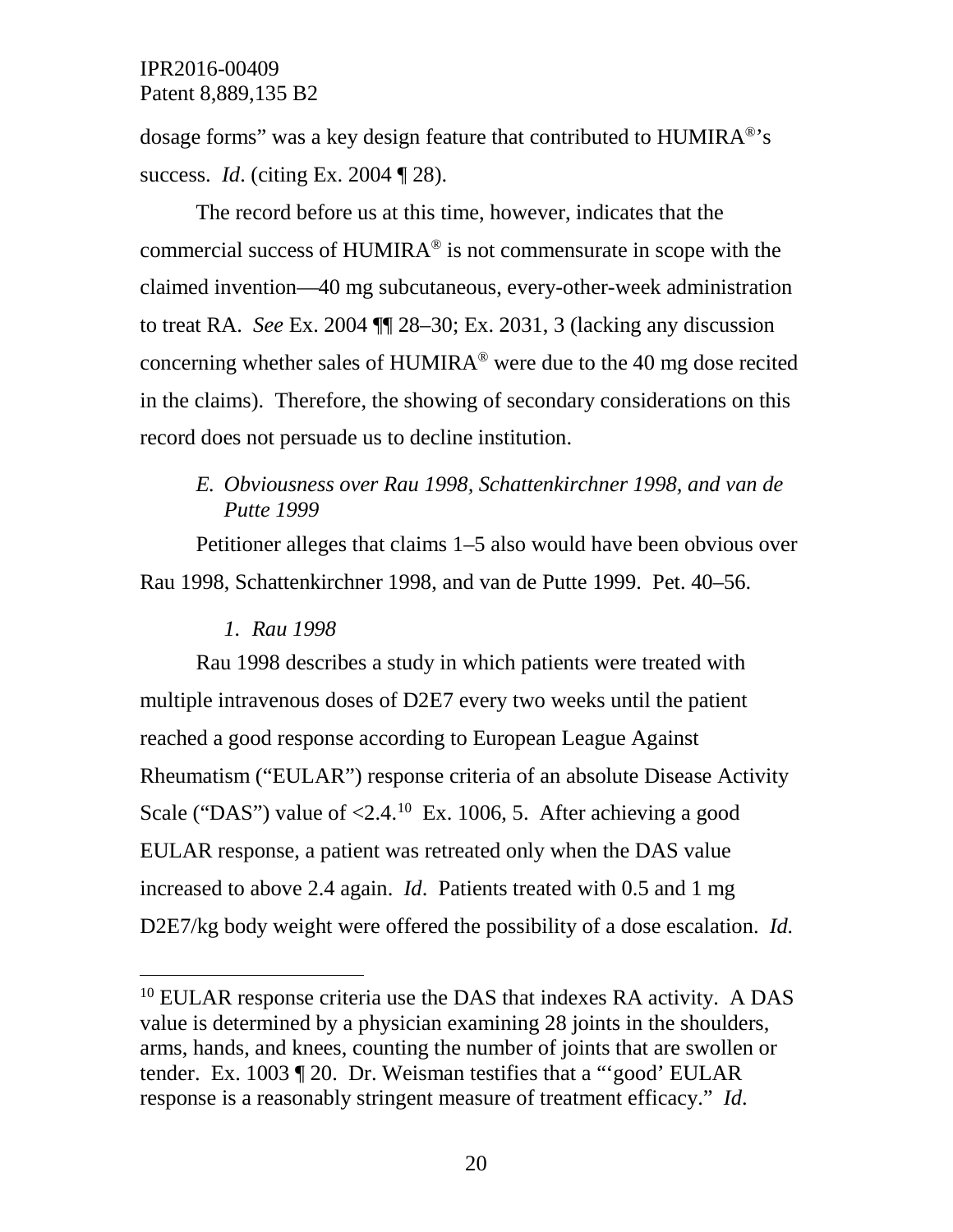dosage forms" was a key design feature that contributed to  $HUMIRA^{\circledast}$ 's success. *Id*. (citing Ex. 2004 ¶ 28).

The record before us at this time, however, indicates that the commercial success of HUMIRA® is not commensurate in scope with the claimed invention—40 mg subcutaneous, every-other-week administration to treat RA. *See* Ex. 2004 ¶¶ 28–30; Ex. 2031, 3 (lacking any discussion concerning whether sales of HUMIRA® were due to the 40 mg dose recited in the claims). Therefore, the showing of secondary considerations on this record does not persuade us to decline institution.

# *E. Obviousness over Rau 1998, Schattenkirchner 1998, and van de Putte 1999*

Petitioner alleges that claims 1–5 also would have been obvious over Rau 1998, Schattenkirchner 1998, and van de Putte 1999. Pet. 40–56.

# *1. Rau 1998*

Rau 1998 describes a study in which patients were treated with multiple intravenous doses of D2E7 every two weeks until the patient reached a good response according to European League Against Rheumatism ("EULAR") response criteria of an absolute Disease Activity Scale ("DAS") value of  $\leq 2.4$ .<sup>10</sup> Ex. 1006, 5. After achieving a good EULAR response, a patient was retreated only when the DAS value increased to above 2.4 again. *Id*. Patients treated with 0.5 and 1 mg D2E7/kg body weight were offered the possibility of a dose escalation. *Id.*

<span id="page-19-0"></span><sup>&</sup>lt;sup>10</sup> EULAR response criteria use the DAS that indexes RA activity. A DAS value is determined by a physician examining 28 joints in the shoulders, arms, hands, and knees, counting the number of joints that are swollen or tender. Ex. 1003 ¶ 20. Dr. Weisman testifies that a "'good' EULAR response is a reasonably stringent measure of treatment efficacy." *Id*.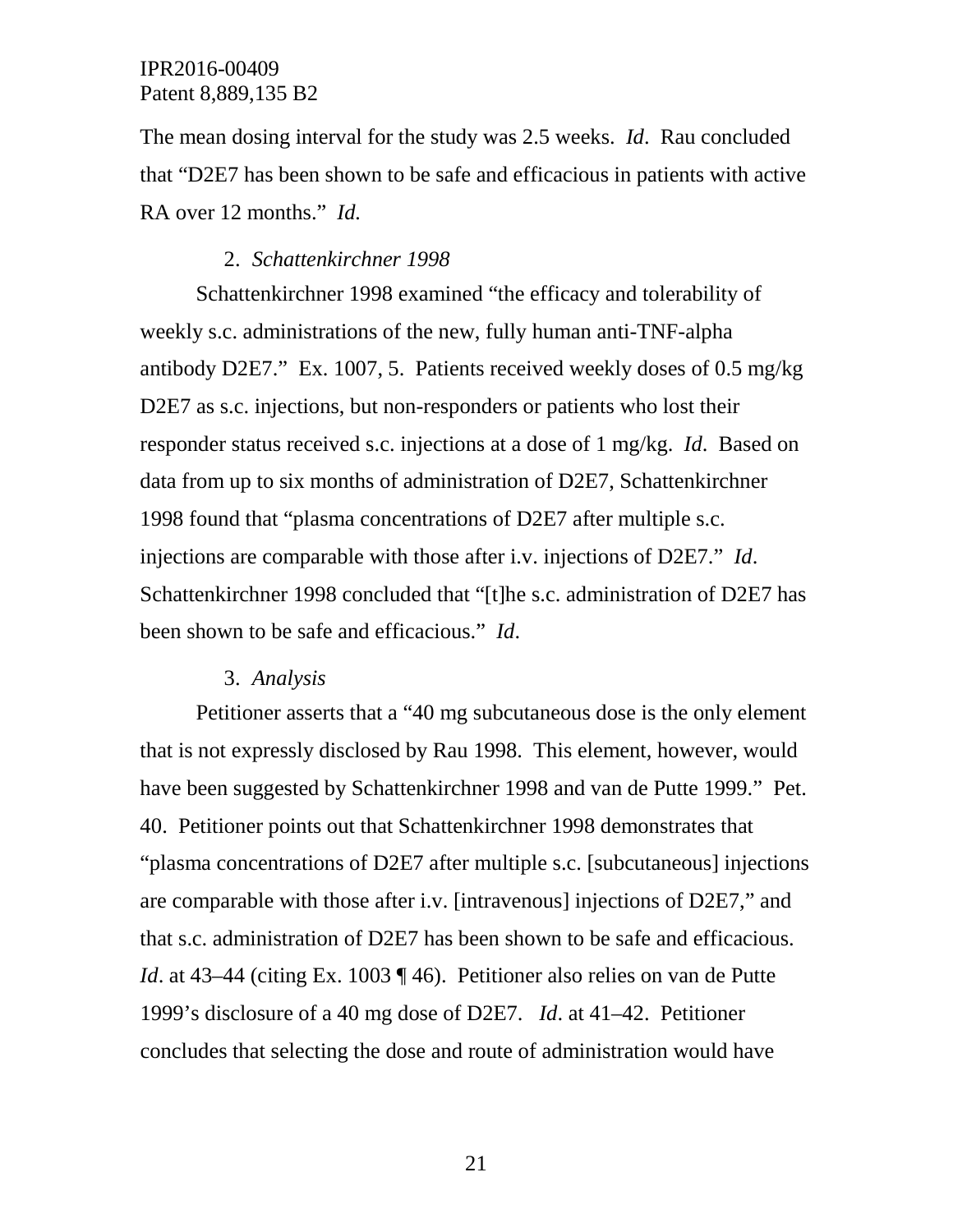The mean dosing interval for the study was 2.5 weeks. *Id*. Rau concluded that "D2E7 has been shown to be safe and efficacious in patients with active RA over 12 months." *Id.*

### 2. *Schattenkirchner 1998*

Schattenkirchner 1998 examined "the efficacy and tolerability of weekly s.c. administrations of the new, fully human anti-TNF-alpha antibody D2E7." Ex. 1007, 5. Patients received weekly doses of 0.5 mg/kg D2E7 as s.c. injections, but non-responders or patients who lost their responder status received s.c. injections at a dose of 1 mg/kg. *Id*. Based on data from up to six months of administration of D2E7, Schattenkirchner 1998 found that "plasma concentrations of D2E7 after multiple s.c. injections are comparable with those after i.v. injections of D2E7." *Id*. Schattenkirchner 1998 concluded that "[t]he s.c. administration of D2E7 has been shown to be safe and efficacious." *Id*.

#### 3. *Analysis*

Petitioner asserts that a "40 mg subcutaneous dose is the only element that is not expressly disclosed by Rau 1998. This element, however, would have been suggested by Schattenkirchner 1998 and van de Putte 1999." Pet. 40. Petitioner points out that Schattenkirchner 1998 demonstrates that "plasma concentrations of D2E7 after multiple s.c. [subcutaneous] injections are comparable with those after i.v. [intravenous] injections of D2E7," and that s.c. administration of D2E7 has been shown to be safe and efficacious. *Id.* at 43–44 (citing Ex. 1003 ¶ 46). Petitioner also relies on van de Putte 1999's disclosure of a 40 mg dose of D2E7. *Id*. at 41–42. Petitioner concludes that selecting the dose and route of administration would have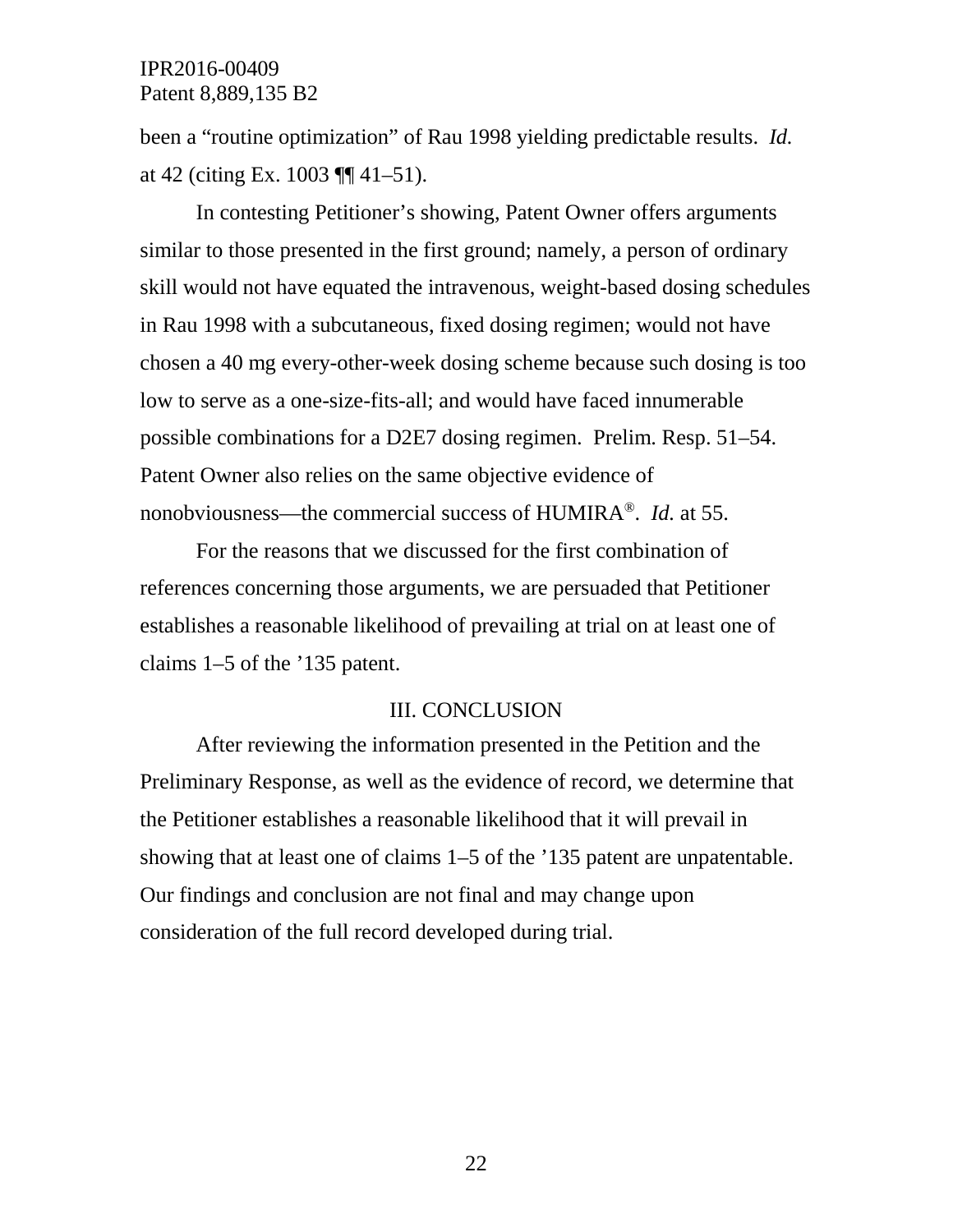been a "routine optimization" of Rau 1998 yielding predictable results. *Id.* at 42 (citing Ex. 1003 ¶¶ 41–51).

In contesting Petitioner's showing, Patent Owner offers arguments similar to those presented in the first ground; namely, a person of ordinary skill would not have equated the intravenous, weight-based dosing schedules in Rau 1998 with a subcutaneous, fixed dosing regimen; would not have chosen a 40 mg every-other-week dosing scheme because such dosing is too low to serve as a one-size-fits-all; and would have faced innumerable possible combinations for a D2E7 dosing regimen. Prelim. Resp. 51–54. Patent Owner also relies on the same objective evidence of nonobviousness—the commercial success of HUMIRA®. *Id.* at 55.

For the reasons that we discussed for the first combination of references concerning those arguments, we are persuaded that Petitioner establishes a reasonable likelihood of prevailing at trial on at least one of claims 1–5 of the '135 patent.

#### III. CONCLUSION

After reviewing the information presented in the Petition and the Preliminary Response, as well as the evidence of record, we determine that the Petitioner establishes a reasonable likelihood that it will prevail in showing that at least one of claims 1–5 of the '135 patent are unpatentable. Our findings and conclusion are not final and may change upon consideration of the full record developed during trial.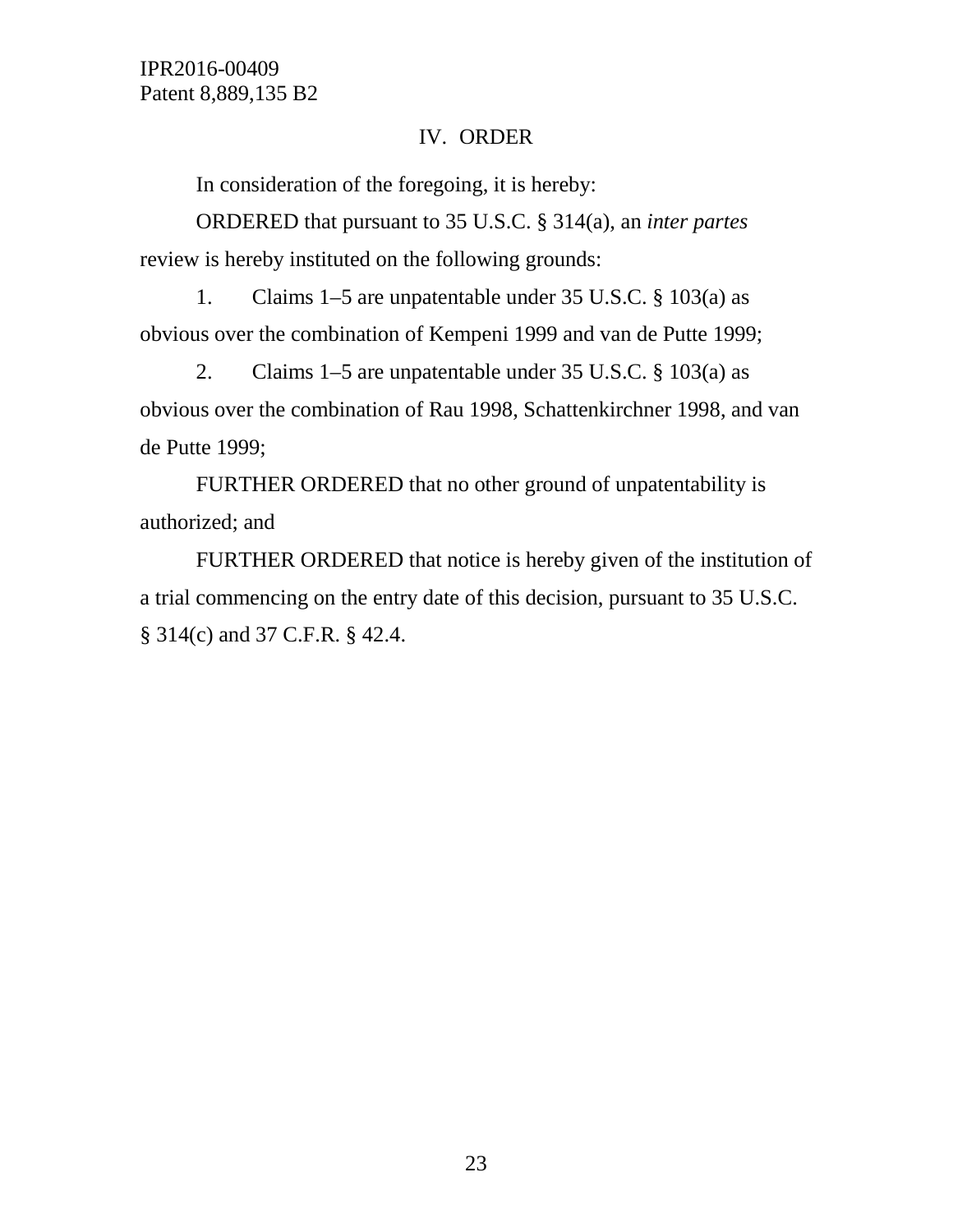# IV. ORDER

In consideration of the foregoing, it is hereby:

ORDERED that pursuant to 35 U.S.C. § 314(a), an *inter partes*  review is hereby instituted on the following grounds:

1. Claims 1–5 are unpatentable under 35 U.S.C. § 103(a) as obvious over the combination of Kempeni 1999 and van de Putte 1999;

2. Claims 1–5 are unpatentable under 35 U.S.C. § 103(a) as obvious over the combination of Rau 1998, Schattenkirchner 1998, and van de Putte 1999;

FURTHER ORDERED that no other ground of unpatentability is authorized; and

FURTHER ORDERED that notice is hereby given of the institution of a trial commencing on the entry date of this decision, pursuant to 35 U.S.C. § 314(c) and 37 C.F.R. § 42.4.